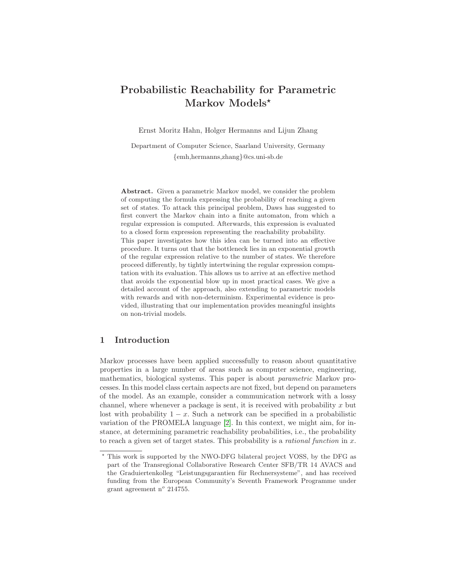# Probabilistic Reachability for Parametric Markov Models\*

Ernst Moritz Hahn, Holger Hermanns and Lijun Zhang

Department of Computer Science, Saarland University, Germany {emh,hermanns,zhang}@cs.uni-sb.de

Abstract. Given a parametric Markov model, we consider the problem of computing the formula expressing the probability of reaching a given set of states. To attack this principal problem, Daws has suggested to first convert the Markov chain into a finite automaton, from which a regular expression is computed. Afterwards, this expression is evaluated to a closed form expression representing the reachability probability. This paper investigates how this idea can be turned into an effective procedure. It turns out that the bottleneck lies in an exponential growth of the regular expression relative to the number of states. We therefore proceed differently, by tightly intertwining the regular expression computation with its evaluation. This allows us to arrive at an effective method that avoids the exponential blow up in most practical cases. We give a detailed account of the approach, also extending to parametric models with rewards and with non-determinism. Experimental evidence is provided, illustrating that our implementation provides meaningful insights on non-trivial models.

## 1 Introduction

Markov processes have been applied successfully to reason about quantitative properties in a large number of areas such as computer science, engineering, mathematics, biological systems. This paper is about *parametric* Markov processes. In this model class certain aspects are not fixed, but depend on parameters of the model. As an example, consider a communication network with a lossy channel, where whenever a package is sent, it is received with probability  $x$  but lost with probability  $1 - x$ . Such a network can be specified in a probabilistic variation of the PROMELA language [\[2\]](#page-17-0). In this context, we might aim, for instance, at determining parametric reachability probabilities, i.e., the probability to reach a given set of target states. This probability is a *rational function* in x.

This work is supported by the NWO-DFG bilateral project VOSS, by the DFG as part of the Transregional Collaborative Research Center SFB/TR 14 AVACS and the Graduiertenkolleg "Leistungsgarantien für Rechnersysteme", and has received funding from the European Community's Seventh Framework Programme under grant agreement  $n^{\circ}$  214755.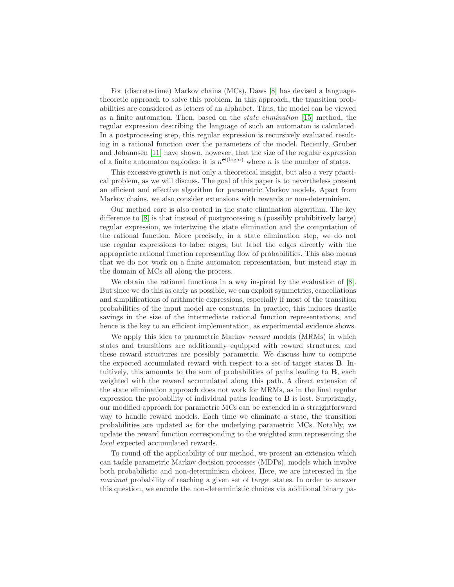For (discrete-time) Markov chains (MCs), Daws [\[8\]](#page-17-1) has devised a languagetheoretic approach to solve this problem. In this approach, the transition probabilities are considered as letters of an alphabet. Thus, the model can be viewed as a finite automaton. Then, based on the *state elimination* [\[15\]](#page-17-2) method, the regular expression describing the language of such an automaton is calculated. In a postprocessing step, this regular expression is recursively evaluated resulting in a rational function over the parameters of the model. Recently, Gruber and Johannsen [\[11\]](#page-17-3) have shown, however, that the size of the regular expression of a finite automaton explodes: it is  $n^{\Theta(\log n)}$  where n is the number of states.

This excessive growth is not only a theoretical insight, but also a very practical problem, as we will discuss. The goal of this paper is to nevertheless present an efficient and effective algorithm for parametric Markov models. Apart from Markov chains, we also consider extensions with rewards or non-determinism.

Our method core is also rooted in the state elimination algorithm. The key difference to [\[8\]](#page-17-1) is that instead of postprocessing a (possibly prohibitively large) regular expression, we intertwine the state elimination and the computation of the rational function. More precisely, in a state elimination step, we do not use regular expressions to label edges, but label the edges directly with the appropriate rational function representing flow of probabilities. This also means that we do not work on a finite automaton representation, but instead stay in the domain of MCs all along the process.

We obtain the rational functions in a way inspired by the evaluation of [\[8\]](#page-17-1). But since we do this as early as possible, we can exploit symmetries, cancellations and simplifications of arithmetic expressions, especially if most of the transition probabilities of the input model are constants. In practice, this induces drastic savings in the size of the intermediate rational function representations, and hence is the key to an efficient implementation, as experimental evidence shows.

We apply this idea to parametric Markov *reward* models (MRMs) in which states and transitions are additionally equipped with reward structures, and these reward structures are possibly parametric. We discuss how to compute the expected accumulated reward with respect to a set of target states B. Intuitively, this amounts to the sum of probabilities of paths leading to B, each weighted with the reward accumulated along this path. A direct extension of the state elimination approach does not work for MRMs, as in the final regular expression the probability of individual paths leading to B is lost. Surprisingly, our modified approach for parametric MCs can be extended in a straightforward way to handle reward models. Each time we eliminate a state, the transition probabilities are updated as for the underlying parametric MCs. Notably, we update the reward function corresponding to the weighted sum representing the *local* expected accumulated rewards.

To round off the applicability of our method, we present an extension which can tackle parametric Markov decision processes (MDPs), models which involve both probabilistic and non-determinism choices. Here, we are interested in the *maximal* probability of reaching a given set of target states. In order to answer this question, we encode the non-deterministic choices via additional binary pa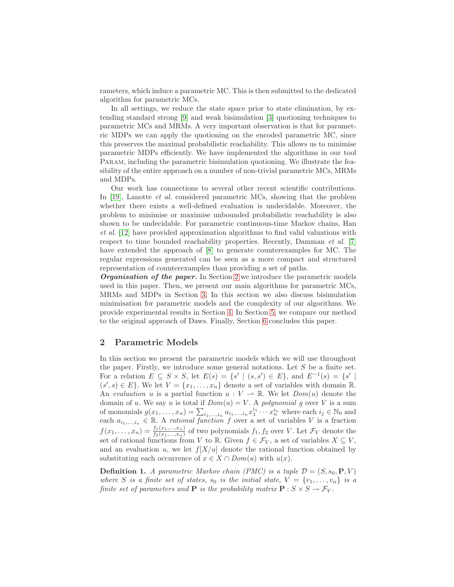rameters, which induce a parametric MC. This is then submitted to the dedicated algorithm for parametric MCs.

In all settings, we reduce the state space prior to state elimination, by extending standard strong [\[9\]](#page-17-4) and weak bisimulation [\[3\]](#page-17-5) quotioning techniques to parametric MCs and MRMs. A very important observation is that for parametric MDPs we can apply the quotioning on the encoded parametric MC, since this preserves the maximal probabilistic reachability. This allows us to minimise parametric MDPs efficiently. We have implemented the algorithms in our tool Param, including the parametric bisimulation quotioning. We illustrate the feasibility of the entire approach on a number of non-trivial parametric MCs, MRMs and MDPs.

Our work has connections to several other recent scientific contributions. In [\[19\]](#page-17-6), Lanotte *et al.* considered parametric MCs, showing that the problem whether there exists a well-defined evaluation is undecidable. Moreover, the problem to minimise or maximise unbounded probabilistic reachability is also shown to be undecidable. For parametric continuous-time Markov chains, Han *et al.* [\[12\]](#page-17-7) have provided approximation algorithms to find valid valuations with respect to time bounded reachability properties. Recently, Damman *et al.* [\[7\]](#page-17-8) have extended the approach of [\[8\]](#page-17-1) to generate counterexamples for MC. The regular expressions generated can be seen as a more compact and structured representation of counterexamples than providing a set of paths.

**Organisation of the paper.** In Section [2](#page-2-0) we introduce the parametric models used in this paper. Then, we present our main algorithms for parametric MCs, MRMs and MDPs in Section [3.](#page-5-0) In this section we also discuss bisimulation minimisation for parametric models and the complexity of our algorithms. We provide experimental results in Section [4.](#page-11-0) In Section [5,](#page-15-0) we compare our method to the original approach of Daws. Finally, Section [6](#page-16-0) concludes this paper.

## <span id="page-2-0"></span>2 Parametric Models

In this section we present the parametric models which we will use throughout the paper. Firstly, we introduce some general notations. Let S be a finite set. For a relation  $E \subseteq S \times S$ , let  $E(s) = \{s' \mid (s, s') \in E\}$ , and  $E^{-1}(s) = \{s' \mid$  $(s', s) \in E$ . We let  $V = \{x_1, \ldots, x_n\}$  denote a set of variables with domain R. An *evaluation* u is a partial function  $u: V \to \mathbb{R}$ . We let  $Dom(u)$  denote the domain of u. We say u is total if  $Dom(u) = V$ . A *polynomial* g over V is a sum of monomials  $g(x_1,...,x_n) = \sum_{i_1,...,i_n} a_{i_1,...,i_n} x_1^{i_1} \cdots x_n^{i_n}$  where each  $i_j \in \mathbb{N}_0$  and each  $a_{i_1,...,i_n} \in \mathbb{R}$ . A *rational function* f over a set of variables V is a fraction  $f(x_1,...,x_n) = \frac{f_1(x_1,...,x_n)}{f_2(x_1,...,x_n)}$  of two polynomials  $f_1, f_2$  over V. Let  $\mathcal{F}_V$  denote the set of rational functions from V to R. Given  $f \in \mathcal{F}_V$ , a set of variables  $X \subseteq V$ , and an evaluation u, we let  $f[X/u]$  denote the rational function obtained by substituting each occurrence of  $x \in X \cap Dom(u)$  with  $u(x)$ .

**Definition 1.** A parametric Markov chain (PMC) is a tuple  $\mathcal{D} = (S, s_0, \mathbf{P}, V)$ *where* S *is a finite set of states,*  $s_0$  *is the initial state,*  $V = \{v_1, \ldots, v_n\}$  *is a finite set of parameters and* **P** *is the probability matrix*  $P : S \times S \rightarrow \mathcal{F}_V$ *.*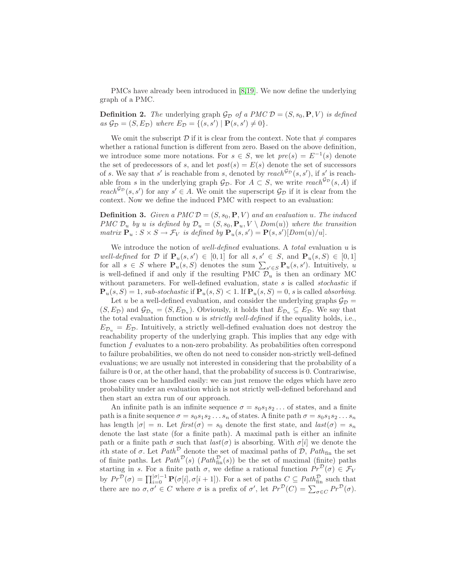PMCs have already been introduced in [\[8,](#page-17-1)[19\]](#page-17-6). We now define the underlying graph of a PMC.

**Definition 2.** The underlying graph  $\mathcal{G}_{\mathcal{D}}$  of a PMC  $\mathcal{D} = (S, s_0, \mathbf{P}, V)$  *is defined as*  $\mathcal{G}_{\mathcal{D}} = (S, E_{\mathcal{D}})$  *where*  $E_{\mathcal{D}} = \{(s, s') | \mathbf{P}(s, s') \neq 0\}.$ 

We omit the subscript  $\mathcal D$  if it is clear from the context. Note that  $\neq$  compares whether a rational function is different from zero. Based on the above definition, we introduce some more notations. For  $s \in S$ , we let  $pre(s) = E^{-1}(s)$  denote the set of predecessors of s, and let  $post(s) = E(s)$  denote the set of successors of s. We say that s' is reachable from s, denoted by  $reach^{\mathcal{G}_D}(s, s')$ , if s' is reachable from s in the underlying graph  $\mathcal{G}_{\mathcal{D}}$ . For  $A \subset S$ , we write  $reach^{\mathcal{G}_{\mathcal{D}}}(s, A)$  if *reach*<sup>G<sub>D</sub></sup>(s, s') for any s'  $\in$  A. We omit the superscript  $\mathcal{G}_{\mathcal{D}}$  if it is clear from the context. Now we define the induced PMC with respect to an evaluation:

**Definition 3.** *Given a PMC*  $\mathcal{D} = (S, s_0, \mathbf{P}, V)$  *and an evaluation u. The induced PMC*  $\mathcal{D}_u$  *by u is defined by*  $\mathcal{D}_u = (S, s_0, \mathbf{P}_u, V \setminus Dom(u))$  *where the transition matrix*  $\mathbf{P}_u : S \times S \to \mathcal{F}_V$  *is defined by*  $\mathbf{P}_u(s, s') = \mathbf{P}(s, s')[Dom(u)/u].$ 

We introduce the notion of *well-defined* evaluations. A *total* evaluation u is well-defined for  $D$  if  $\mathbf{P}_u(s, s') \in [0, 1]$  for all  $s, s' \in S$ , and  $\mathbf{P}_u(s, S) \in [0, 1]$ for all  $s \in S$  where  $\mathbf{P}_u(s, S)$  denotes the sum  $\sum_{s' \in S} \mathbf{P}_u(s, s')$ . Intuitively, u is well-defined if and only if the resulting PMC  $\mathcal{D}_u$  is then an ordinary MC without parameters. For well-defined evaluation, state s is called *stochastic* if  $\mathbf{P}_u(s, S) = 1$ , *sub-stochastic* if  $\mathbf{P}_u(s, S) < 1$ . If  $\mathbf{P}_u(s, S) = 0$ , *s* is called *absorbing*.

Let u be a well-defined evaluation, and consider the underlying graphs  $\mathcal{G}_{\mathcal{D}} =$  $(S, E_{\mathcal{D}})$  and  $\mathcal{G}_{\mathcal{D}_u} = (S, E_{\mathcal{D}_u})$ . Obviously, it holds that  $E_{\mathcal{D}_u} \subseteq E_{\mathcal{D}}$ . We say that the total evaluation function u is *strictly well-defined* if the equality holds, i.e.,  $E_{\mathcal{D}_{u}} = E_{\mathcal{D}}$ . Intuitively, a strictly well-defined evaluation does not destroy the reachability property of the underlying graph. This implies that any edge with function f evaluates to a non-zero probability. As probabilities often correspond to failure probabilities, we often do not need to consider non-strictly well-defined evaluations; we are usually not interested in considering that the probability of a failure is 0 or, at the other hand, that the probability of success is 0. Contrariwise, those cases can be handled easily: we can just remove the edges which have zero probability under an evaluation which is not strictly well-defined beforehand and then start an extra run of our approach.

An infinite path is an infinite sequence  $\sigma = s_0 s_1 s_2 \dots$  of states, and a finite path is a finite sequence  $\sigma = s_0 s_1 s_2 \dots s_n$  of states. A finite path  $\sigma = s_0 s_1 s_2 \dots s_n$ has length  $|\sigma| = n$ . Let  $first(\sigma) = s_0$  denote the first state, and  $last(\sigma) = s_n$ denote the last state (for a finite path). A maximal path is either an infinite path or a finite path  $\sigma$  such that  $last(\sigma)$  is absorbing. With  $\sigma[i]$  we denote the ith state of  $\sigma$ . Let *Path*<sup>D</sup> denote the set of maximal paths of  $\overline{D}$ , *Path*<sub>fin</sub> the set of finite paths. Let  $Path^{\mathcal{D}}(s)$  ( $Path^{\mathcal{D}}_{fin}(s)$ ) be the set of maximal (finite) paths starting in s. For a finite path  $\sigma$ , we define a rational function  $Pr^{\mathcal{D}}(\sigma) \in \mathcal{F}_V$ by  $Pr^{\mathcal{D}}(\sigma) = \prod_{i=0}^{|\sigma|-1} \mathbf{P}(\sigma[i], \sigma[i+1])$ . For a set of paths  $C \subseteq Path_{fin}^{\mathcal{D}}$  such that there are no  $\sigma, \sigma' \in C$  where  $\sigma$  is a prefix of  $\sigma'$ , let  $Pr^{\mathcal{D}}(C) = \sum_{\sigma \in C} Pr^{\mathcal{D}}(\sigma)$ .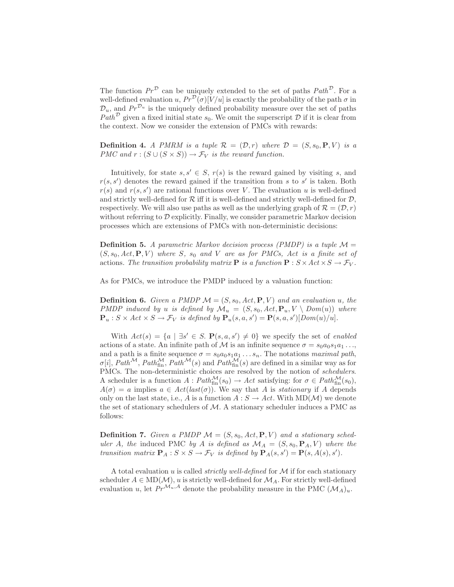The function  $Pr^{\mathcal{D}}$  can be uniquely extended to the set of paths  $Path^{\mathcal{D}}$ . For a well-defined evaluation u,  $Pr^{\mathcal{D}}(\sigma)[V/u]$  is exactly the probability of the path  $\sigma$  in  $\mathcal{D}_u$ , and  $Pr^{\mathcal{D}_u}$  is the uniquely defined probability measure over the set of paths  $Path^{\mathcal{D}}$  given a fixed initial state  $s_0$ . We omit the superscript  $\mathcal{D}$  if it is clear from the context. Now we consider the extension of PMCs with rewards:

**Definition 4.** *A PMRM is a tuple*  $\mathcal{R} = (\mathcal{D}, r)$  *where*  $\mathcal{D} = (S, s_0, \mathbf{P}, V)$  *is a PMC and*  $r : (S \cup (S \times S)) \rightarrow \mathcal{F}_V$  *is the reward function.* 

Intuitively, for state  $s, s' \in S$ ,  $r(s)$  is the reward gained by visiting s, and  $r(s, s')$  denotes the reward gained if the transition from s to s' is taken. Both  $r(s)$  and  $r(s, s')$  are rational functions over V. The evaluation u is well-defined and strictly well-defined for  $\mathcal R$  iff it is well-defined and strictly well-defined for  $\mathcal D$ , respectively. We will also use paths as well as the underlying graph of  $\mathcal{R} = (\mathcal{D}, r)$ without referring to  $\mathcal D$  explicitly. Finally, we consider parametric Markov decision processes which are extensions of PMCs with non-deterministic decisions:

**Definition 5.** A parametric Markov decision process (PMDP) is a tuple  $\mathcal{M} =$  $(S, s_0, Act, P, V)$  where S, s<sub>0</sub> and V are as for PMCs, Act is a finite set of actions. The transition probability matrix **P** is a function  $\mathbf{P}: S \times Act \times S \rightarrow \mathcal{F}_V$ .

As for PMCs, we introduce the PMDP induced by a valuation function:

**Definition 6.** Given a PMDP  $M = (S, s_0, Act, P, V)$  and an evaluation u, the *PMDP induced by u is defined by*  $\mathcal{M}_u = (S, s_0, Act, \mathbf{P}_u, V \setminus Dom(u))$  where  $\mathbf{P}_u : S \times Act \times S \to \mathcal{F}_V$  *is defined by*  $\mathbf{P}_u(s, a, s') = \mathbf{P}(s, a, s')[Dom(u)/u].$ 

With  $Act(s) = \{a \mid \exists s' \in S$ .  $\mathbf{P}(s, a, s') \neq 0\}$  we specify the set of *enabled* actions of a state. An infinite path of M is an infinite sequence  $\sigma = s_0 a_0 s_1 a_1 \ldots$ and a path is a finite sequence  $\sigma = s_0 a_0 s_1 a_1 \dots s_n$ . The notations *maximal path*,  $\sigma[i], \mathit{Path}_{\mathcal{H}}^{\mathcal{M}}, \mathit{Path}_{\mathit{fin}}^{\mathcal{M}}, \mathit{Path}_{\mathcal{H}}^{\mathcal{M}}(s)$  and  $\mathit{Path}_{\mathit{fin}}^{\mathcal{M}}(s)$  are defined in a similar way as for PMCs. The non-deterministic choices are resolved by the notion of *schedulers*. A scheduler is a function  $A: Path_{fin}^{\mathcal{M}}(s_0) \to Act$  satisfying: for  $\sigma \in Path_{fin}^{\mathcal{M}}(s_0)$ ,  $A(\sigma) = a$  implies  $a \in \text{Act}(\text{last}(\sigma))$ . We say that A is *stationary* if A depends only on the last state, i.e., A is a function  $A : S \to Act$ . With MD(M) we denote the set of stationary schedulers of  $M$ . A stationary scheduler induces a PMC as follows:

**Definition 7.** Given a PMDP  $M = (S, s_0, Act, P, V)$  and a stationary sched*uler* A, the induced PMC *by* A *is defined as*  $\mathcal{M}_A = (S, s_0, P_A, V)$  *where the transition matrix*  $\mathbf{P}_A : S \times S \to \mathcal{F}_V$  *is defined by*  $\mathbf{P}_A(s, s') = \mathbf{P}(s, A(s), s')$ *.* 

A total evaluation u is called *strictly well-defined* for M if for each stationary scheduler  $A \in MD(\mathcal{M})$ , u is strictly well-defined for  $\mathcal{M}_A$ . For strictly well-defined evaluation u, let  $Pr^{\mathcal{M}_u, A}$  denote the probability measure in the PMC  $(\mathcal{M}_A)_u$ .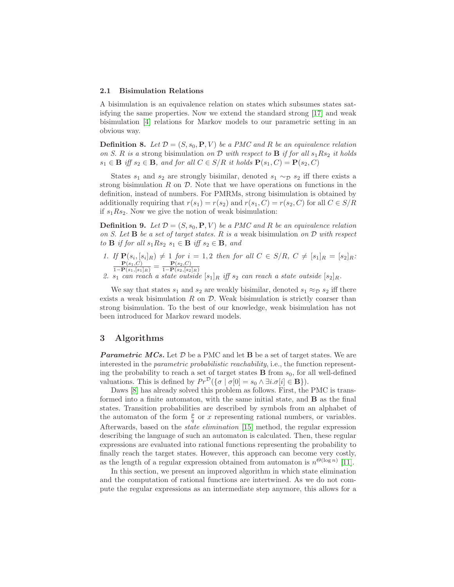#### 2.1 Bisimulation Relations

A bisimulation is an equivalence relation on states which subsumes states satisfying the same properties. Now we extend the standard strong [\[17\]](#page-17-9) and weak bisimulation [\[4\]](#page-17-10) relations for Markov models to our parametric setting in an obvious way.

**Definition 8.** Let  $\mathcal{D} = (S, s_0, \mathbf{P}, V)$  be a PMC and R be an equivalence relation *on S. R is a* strong bisimulation *on*  $D$  *with respect to*  $B$  *if for all*  $s_1Rs_2$  *it holds*  $s_1 \in \mathbf{B}$  *iff*  $s_2 \in \mathbf{B}$ *, and for all*  $C \in S/R$  *it holds*  $\mathbf{P}(s_1, C) = \mathbf{P}(s_2, C)$ 

States  $s_1$  and  $s_2$  are strongly bisimilar, denoted  $s_1 \sim_{\mathcal{D}} s_2$  iff there exists a strong bisimulation R on  $\mathcal D$ . Note that we have operations on functions in the definition, instead of numbers. For PMRMs, strong bisimulation is obtained by additionally requiring that  $r(s_1) = r(s_2)$  and  $r(s_1, C) = r(s_2, C)$  for all  $C \in S/R$ if  $s_1Rs_2$ . Now we give the notion of weak bisimulation:

**Definition 9.** Let  $\mathcal{D} = (S, s_0, \mathbf{P}, V)$  be a PMC and R be an equivalence relation *on S. Let* B *be a set of target states.* R *is a* weak bisimulation *on* D *with respect to* **B** *if for all*  $s_1Rs_2$   $s_1 \in \mathbf{B}$  *iff*  $s_2 \in \mathbf{B}$ *, and* 

- *1. If*  $P(s_i, [s_i]_R) ≠ 1$  *for*  $i = 1, 2$  *then for all*  $C ∈ S/R$ ,  $C ≠ [s_1]_R = [s_2]_R$ *:*<br> $\frac{P(s_1, C)}{1-P(s_1, [s_1]_R)} = \frac{P(s_2, C)}{1-P(s_2, [s_2]_R)}$  $\overline{1-P(s_2,[s_2]_R)}$
- 2.  $s_1$  *can reach a state outside*  $[s_1]_R$  *iff*  $s_2$  *can reach a state outside*  $[s_2]_R$ *.*

We say that states  $s_1$  and  $s_2$  are weakly bisimilar, denoted  $s_1 \approx_{\mathcal{D}} s_2$  iff there exists a weak bisimulation  $R$  on  $D$ . Weak bisimulation is strictly coarser than strong bisimulation. To the best of our knowledge, weak bisimulation has not been introduced for Markov reward models.

### <span id="page-5-0"></span>3 Algorithms

**Parametric MCs.** Let  $D$  be a PMC and let  $B$  be a set of target states. We are interested in the *parametric probabilistic reachability*, i.e., the function representing the probability to reach a set of target states **B** from  $s_0$ , for all well-defined valuations. This is defined by  $Pr^{\mathcal{D}}(\{\sigma \mid \sigma[0] = s_0 \land \exists i.\sigma[i] \in \mathbf{B}\}).$ 

Daws  $[8]$  has already solved this problem as follows. First, the PMC is transformed into a finite automaton, with the same initial state, and B as the final states. Transition probabilities are described by symbols from an alphabet of the automaton of the form  $\frac{p}{q}$  or x representing rational numbers, or variables. Afterwards, based on the *state elimination* [\[15\]](#page-17-2) method, the regular expression describing the language of such an automaton is calculated. Then, these regular expressions are evaluated into rational functions representing the probability to finally reach the target states. However, this approach can become very costly, as the length of a regular expression obtained from automaton is  $n^{\Theta(\log n)}$  [\[11\]](#page-17-3).

In this section, we present an improved algorithm in which state elimination and the computation of rational functions are intertwined. As we do not compute the regular expressions as an intermediate step anymore, this allows for a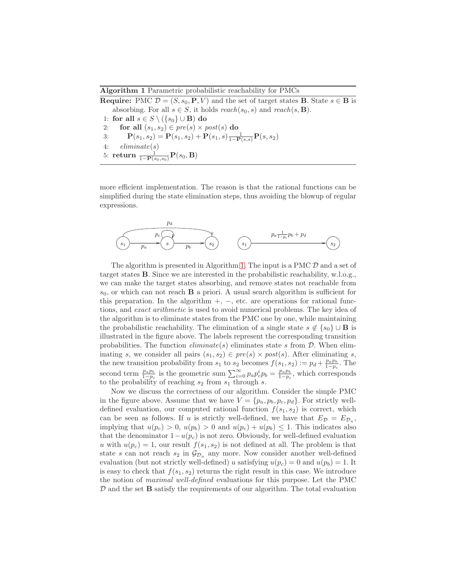<span id="page-6-0"></span>Algorithm 1 Parametric probabilistic reachability for PMCs

**Require:** PMC  $\mathcal{D} = (S, s_0, \mathbf{P}, V)$  and the set of target states **B**. State  $s \in \mathbf{B}$  is absorbing. For all  $s \in S$ , it holds  $reach(s_0, s)$  and  $reach(s, B)$ .

- 1: for all  $s \in S \setminus (\{s_0\} \cup \mathbf{B})$  do
- 2: **for all**  $(s_1, s_2) \in pre(s) \times post(s)$  do
- 3:  $P(s_1, s_2) = P(s_1, s_2) + P(s_1, s) \frac{1}{1 P(s, s)} P(s, s_2)$
- 4: *eliminate*(s)
- 5:  $\mathrm{return} \; \frac{1}{1-\mathbf{P}(s_0,s_0)} \mathbf{P}(s_0,\mathbf{B})$

more efficient implementation. The reason is that the rational functions can be simplified during the state elimination steps, thus avoiding the blowup of regular expressions.



The algorithm is presented in Algorithm [1.](#page-6-0) The input is a PMC  $D$  and a set of target states B. Since we are interested in the probabilistic reachability, w.l.o.g., we can make the target states absorbing, and remove states not reachable from  $s_0$ , or which can not reach **B** a priori. A usual search algorithm is sufficient for this preparation. In the algorithm  $+$ ,  $-$ , etc. are operations for rational functions, and *exact arithmetic* is used to avoid numerical problems. The key idea of the algorithm is to eliminate states from the PMC one by one, while maintaining the probabilistic reachability. The elimination of a single state  $s \notin \{s_0\} \cup \mathbf{B}$  is illustrated in the figure above. The labels represent the corresponding transition probabilities. The function  $eliminate(s)$  eliminates state s from  $D$ . When eliminating s, we consider all pairs  $(s_1, s_2) \in pre(s) \times post(s)$ . After eliminating s, the new transition probability from  $s_1$  to  $s_2$  becomes  $f(s_1, s_2) := p_d + \frac{p_a p_b}{1-p_c}$ . The second term  $\frac{p_a p_b}{1-p_c}$  is the geometric sum  $\sum_{i=0}^{\infty} p_a p_c^i p_b = \frac{p_a p_b}{1-p_c}$ , which corresponds to the probability of reaching  $s_2$  from  $s_1$  through s.

Now we discuss the correctness of our algorithm. Consider the simple PMC in the figure above. Assume that we have  $V = \{p_a, p_b, p_c, p_d\}$ . For strictly welldefined evaluation, our computed rational function  $f(s_1, s_2)$  is correct, which can be seen as follows. If u is strictly well-defined, we have that  $E_{\mathcal{D}} = E_{\mathcal{D}_u}$ , implying that  $u(p_c) > 0$ ,  $u(p_b) > 0$  and  $u(p_c) + u(p_b) \le 1$ . This indicates also that the denominator  $1-u(p_c)$  is not zero. Obviously, for well-defined evaluation u with  $u(p_c) = 1$ , our result  $f(s_1, s_2)$  is not defined at all. The problem is that state s can not reach  $s_2$  in  $\mathcal{G}_{\mathcal{D}_u}$  any more. Now consider another well-defined evaluation (but not strictly well-defined) u satisfying  $u(p_c) = 0$  and  $u(p_b) = 1$ . It is easy to check that  $f(s_1, s_2)$  returns the right result in this case. We introduce the notion of *maximal well-defined* evaluations for this purpose. Let the PMC  $D$  and the set  $B$  satisfy the requirements of our algorithm. The total evaluation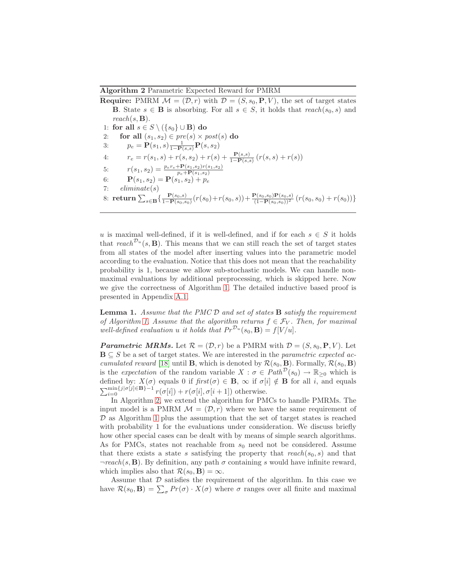<span id="page-7-0"></span>Algorithm 2 Parametric Expected Reward for PMRM

<span id="page-7-4"></span><span id="page-7-3"></span><span id="page-7-2"></span>**Require:** PMRM  $M = (\mathcal{D}, r)$  with  $\mathcal{D} = (S, s_0, \mathbf{P}, V)$ , the set of target states **B.** State  $s \in \mathbf{B}$  is absorbing. For all  $s \in S$ , it holds that  $reach(s_0, s)$  and  $reach(s, \mathbf{B}).$ 1: for all  $s \in S \setminus (\{s_0\} \cup \mathbf{B})$  do 2: **for all**  $(s_1, s_2) \in pre(s) \times post(s)$  do 3:  $p_e = \mathbf{P}(s_1, s) \frac{1}{1 - \mathbf{P}(s, s)} \mathbf{P}(s, s_2)$ 4:  $r_e = r(s_1, s) + r(s, s_2) + r(s) + \frac{\mathbf{P}(s, s)}{1 - \mathbf{P}(s, s)} (r(s, s) + r(s))$ 5:  $r(s_1, s_2) = \frac{p_e r_e + P(s_1, s_2) r(s_1, s_2)}{p_e + P(s_1, s_2)}$ 6:  $\mathbf{P}(s_1, s_2) = \mathbf{P}(s_1, s_2) + p_e$ 7: *eliminate*(s) 8: return  $\sum_{s\in{\bf B}}\{\frac{{\bf P}(s_0,s)}{1-{\bf P}(s_0,s)}\}$  $\frac{{\mathrm{P}}(s_0,s)}{1-{\mathrm{P}}(s_0,s_0)}\big(r\big(s_0\big)+r\big(s_0,s\big)\big)+\frac{{\mathrm{P}}(s_0,s_0){\mathrm{P}}(s_0,s)}{(1-{\mathrm{P}}(s_0,s_0))^2}\,\big(r\big(s_0,s_0\big)+r\big(s_0\big)\big)\big\}$ 

<span id="page-7-6"></span><span id="page-7-5"></span>u is maximal well-defined, if it is well-defined, and if for each  $s \in S$  it holds that  $reach^{D_u}(s, \mathbf{B})$ . This means that we can still reach the set of target states from all states of the model after inserting values into the parametric model according to the evaluation. Notice that this does not mean that the reachability probability is 1, because we allow sub-stochastic models. We can handle nonmaximal evaluations by additional preprocessing, which is skipped here. Now we give the correctness of Algorithm [1.](#page-6-0) The detailed inductive based proof is presented in Appendix [A.1.](#page-18-0)

<span id="page-7-1"></span>Lemma 1. *Assume that the PMC* D *and set of states* B *satisfy the requirement of Algorithm [1.](#page-6-0) Assume that the algorithm returns*  $f \in \mathcal{F}_V$ *. Then, for maximal well-defined evaluation u it holds that*  $Pr^{D_u}(s_0, \mathbf{B}) = f[V/u].$ 

**Parametric MRMs.** Let  $\mathcal{R} = (\mathcal{D}, r)$  be a PMRM with  $\mathcal{D} = (S, s_0, P, V)$ . Let B ⊆ S be a set of target states. We are interested in the *parametric expected accumulated reward* [\[18\]](#page-17-11) until **B**, which is denoted by  $\mathcal{R}(s_0, \mathbf{B})$ . Formally,  $\mathcal{R}(s_0, \mathbf{B})$ is the *expectation* of the random variable  $X : \sigma \in Path^{\mathcal{D}}(s_0) \to \mathbb{R}_{\geq 0}$  which is defined by:  $X(\sigma)$  equals 0 if  $first(\sigma) \in \mathbf{B}$ ,  $\infty$  if  $\sigma[i] \notin \mathbf{B}$  for all i, and equals  $\sum_{i=0}^{\min\{j|\sigma[j]\in\mathbf{B}\}-1} r(\sigma[i]) + r(\sigma[i], \sigma[i+1])$  otherwise.

In Algorithm [2,](#page-7-0) we extend the algorithm for PMCs to handle PMRMs. The input model is a PMRM  $\mathcal{M} = (\mathcal{D}, r)$  where we have the same requirement of  $\mathcal D$  as Algorithm [1](#page-6-0) plus the assumption that the set of target states is reached with probability 1 for the evaluations under consideration. We discuss briefly how other special cases can be dealt with by means of simple search algorithms. As for PMCs, states not reachable from  $s_0$  need not be considered. Assume that there exists a state s satisfying the property that  $reach(s_0, s)$  and that  $\neg reach(s, B)$ . By definition, any path  $\sigma$  containing s would have infinite reward, which implies also that  $\mathcal{R}(s_0, \mathbf{B}) = \infty$ .

Assume that  $D$  satisfies the requirement of the algorithm. In this case we have  $\mathcal{R}(s_0, \mathbf{B}) = \sum_{\sigma} Pr(\sigma) \cdot X(\sigma)$  where  $\sigma$  ranges over all finite and maximal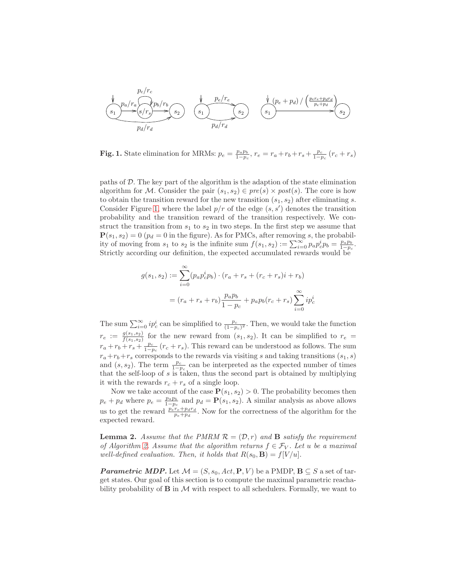$$
\underbrace{(s_1)^{p_a/r_a}}_{p_a/r_a} \underbrace{(s/r_s)}_{p_a/r_d} \underbrace{(s_2)}_{p_a/r_d} \underbrace{(s_1)^{p_e/r_e}}_{p_a/r_d} \underbrace{(s_2)}_{p_a/r_d} \underbrace{(s_1)^{p_e + p_a/r_d}}_{p_a/r_d} \underbrace{(s_2)^{p_a/r_d}}_{p_a/r_d}
$$

<span id="page-8-0"></span>**Fig. 1.** State elimination for MRMs:  $p_e = \frac{p_a p_b}{1-p_c}$ ,  $r_e = r_a + r_b + r_s + \frac{p_c}{1-p_c} (r_c + r_s)$ 

paths of D. The key part of the algorithm is the adaption of the state elimination algorithm for M. Consider the pair  $(s_1, s_2) \in pre(s) \times post(s)$ . The core is how to obtain the transition reward for the new transition  $(s_1, s_2)$  after eliminating s. Consider Figure [1,](#page-8-0) where the label  $p/r$  of the edge  $(s, s')$  denotes the transition probability and the transition reward of the transition respectively. We construct the transition from  $s_1$  to  $s_2$  in two steps. In the first step we assume that  $P(s_1, s_2) = 0$  ( $p_d = 0$  in the figure). As for PMCs, after removing s, the probability of moving from  $s_1$  to  $s_2$  is the infinite sum  $f(s_1, s_2) := \sum_{i=0}^{\infty} p_a p_c^i p_b = \frac{p_a p_b}{1-p_c}$ . Strictly according our definition, the expected accumulated rewards would be

$$
g(s_1, s_2) := \sum_{i=0}^{\infty} (p_a p_c^i p_b) \cdot (r_a + r_s + (r_c + r_s)i + r_b)
$$
  
=  $(r_a + r_s + r_b) \frac{p_a p_b}{1 - p_c} + p_a p_b (r_c + r_s) \sum_{i=0}^{\infty} i p_c^i$ 

The sum  $\sum_{i=0}^{\infty} i p_c^i$  can be simplified to  $\frac{p_c}{(1-p_c)^2}$ . Then, we would take the function  $r_e := \frac{g(s_1, s_2)}{f(s_1, s_2)}$  $\frac{g(s_1,s_2)}{f(s_1,s_2)}$  for the new reward from  $(s_1,s_2)$ . It can be simplified to  $r_e =$  $r_a + r_b + r_s + \frac{p_c}{1-p_c}$   $(r_c + r_s)$ . This reward can be understood as follows. The sum  $r_a+r_b+r_s$  corresponds to the rewards via visiting s and taking transitions  $(s_1,s)$ and  $(s, s_2)$ . The term  $\frac{p_c}{1-p_c}$  can be interpreted as the expected number of times that the self-loop of  $s$  is taken, thus the second part is obtained by multiplying it with the rewards  $r_c + r_s$  of a single loop.

Now we take account of the case  $P(s_1, s_2) > 0$ . The probability becomes then  $p_e + p_d$  where  $p_e = \frac{p_a p_b}{1-p_c}$  and  $p_d = \mathbf{P}(s_1, s_2)$ . A similar analysis as above allows us to get the reward  $\frac{p_e r_e + p_d r_d}{p_e + p_d}$ . Now for the correctness of the algorithm for the expected reward.

<span id="page-8-1"></span>**Lemma 2.** Assume that the PMRM  $\mathcal{R} = (\mathcal{D}, r)$  and **B** satisfy the requirement *of Algorithm [2.](#page-7-0) Assume that the algorithm returns*  $f \in \mathcal{F}_V$ *. Let u be a maximal well-defined evaluation. Then, it holds that*  $R(s_0, \mathbf{B}) = f[V/u]$ .

**Parametric MDP.** Let  $M = (S, s_0, Act, P, V)$  be a PMDP,  $B \subseteq S$  a set of target states. Our goal of this section is to compute the maximal parametric reachability probability of  $\bf{B}$  in  $\cal{M}$  with respect to all schedulers. Formally, we want to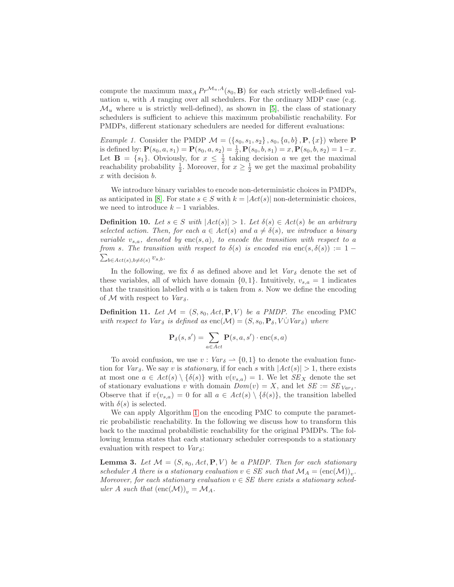compute the maximum max<sub>A</sub>  $Pr^{\mathcal{M}_u, A}(s_0, \mathbf{B})$  for each strictly well-defined valuation  $u$ , with  $A$  ranging over all schedulers. For the ordinary MDP case (e.g.  $\mathcal{M}_u$  where u is strictly well-defined), as shown in [\[5\]](#page-17-12), the class of stationary schedulers is sufficient to achieve this maximum probabilistic reachability. For PMDPs, different stationary schedulers are needed for different evaluations:

*Example 1.* Consider the PMDP  $M = (\{s_0, s_1, s_2\}, s_0, \{a, b\}, P, \{x\})$  where **P** is defined by:  $P(s_0, a, s_1) = P(s_0, a, s_2) = \frac{1}{2}, P(s_0, b, s_1) = x, P(s_0, b, s_2) = 1 - x.$ Let  $\mathbf{B} = \{s_1\}$ . Obviously, for  $x \leq \frac{1}{2}$  taking decision a we get the maximal reachability probability  $\frac{1}{2}$ . Moreover, for  $x \geq \frac{1}{2}$  we get the maximal probability x with decision b.

We introduce binary variables to encode non-deterministic choices in PMDPs, as anticipated in [\[8\]](#page-17-1). For state  $s \in S$  with  $k = |Act(s)|$  non-deterministic choices, we need to introduce  $k - 1$  variables.

**Definition 10.** Let *s* ∈ *S* with  $|Act(s)| > 1$ . Let  $\delta(s) ∈ Act(s)$  be an arbitrary *selected action. Then, for each*  $a \in Act(s)$  *and*  $a \neq \delta(s)$ *, we introduce a binary variable*  $v_{s,a}$ *, denoted by* enc $(s,a)$ *, to encode the transition with respect to a from* s. The transition with respect to  $\delta(s)$  is encoded via  $\text{enc}(s, \delta(s)) := 1 \sum_{b \in Act(s), b \neq \delta(s)} v_{s,b}$ .

In the following, we fix  $\delta$  as defined above and let  $Var_{\delta}$  denote the set of these variables, all of which have domain  $\{0, 1\}$ . Intuitively,  $v_{s,a} = 1$  indicates that the transition labelled with  $a$  is taken from  $s$ . Now we define the encoding of  $\mathcal M$  with respect to  $Var_{\delta}$ .

**Definition 11.** Let  $M = (S, s_0, Act, P, V)$  be a PMDP. The encoding PMC *with respect to*  $Var_{\delta}$  *is defined as* enc $(M) = (S, s_0, P_{\delta}, V \dot{\cup} Var_{\delta})$  *where* 

$$
\mathbf{P}_{\delta}(s, s') = \sum_{a \in Act} \mathbf{P}(s, a, s') \cdot \text{enc}(s, a)
$$

To avoid confusion, we use  $v : Var_{\delta} \to \{0, 1\}$  to denote the evaluation function for  $Var_{\delta}$ . We say v is *stationary*, if for each s with  $|Act(s)| > 1$ , there exists at most one  $a \in \text{Act}(s) \setminus \{\delta(s)\}\$  with  $v(v_{s,a}) = 1$ . We let  $SE_X$  denote the set of stationary evaluations v with domain  $Dom(v) = X$ , and let  $SE := SE_{Var_{\delta}}$ . Observe that if  $v(v_{s,a}) = 0$  for all  $a \in Act(s) \setminus {\delta(s)}$ , the transition labelled with  $\delta(s)$  is selected.

We can apply Algorithm [1](#page-6-0) on the encoding PMC to compute the parametric probabilistic reachability. In the following we discuss how to transform this back to the maximal probabilistic reachability for the original PMDPs. The following lemma states that each stationary scheduler corresponds to a stationary evaluation with respect to  $Var_{\delta}$ :

<span id="page-9-0"></span>**Lemma 3.** Let  $\mathcal{M} = (S, s_0, Act, P, V)$  be a PMDP. Then for each stationary *scheduler* A *there is a stationary evaluation*  $v \in SE$  *such that*  $M_A = (\text{enc}(M))_v$ . *Moreover, for each stationary evaluation*  $v \in SE$  there exists a stationary sched*uler* A *such that*  $(enc(\mathcal{M}))_v = \mathcal{M}_A$ .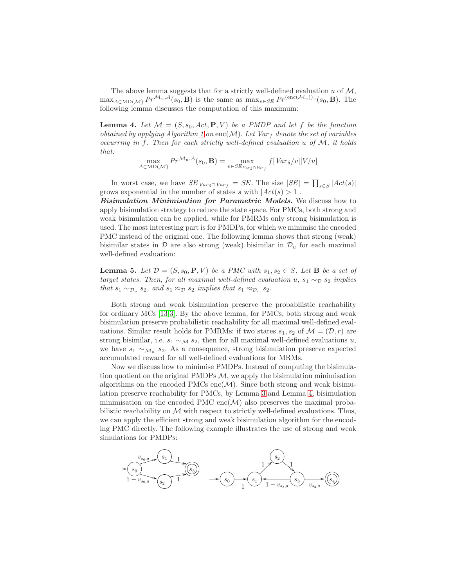The above lemma suggests that for a strictly well-defined evaluation  $u$  of  $\mathcal{M}$ ,  $\max_{A \in \text{MD}(\mathcal{M})} Pr^{\mathcal{M}_u, A}(s_0, \mathbf{B})$  is the same as  $\max_{v \in SE} Pr^{(\text{enc}(\mathcal{M}_u))_v}(s_0, \mathbf{B})$ . The following lemma discusses the computation of this maximum:

<span id="page-10-0"></span>**Lemma 4.** Let  $\mathcal{M} = (S, s_0, Act, P, V)$  be a PMDP and let f be the function *obtained by applying Algorithm [1](#page-6-0) on* enc $(M)$ *. Let Var<sub>f</sub> denote the set of variables occurring in* f*. Then for each strictly well-defined evaluation* u *of* M*, it holds that:*

$$
\max_{A \in \text{MD}(\mathcal{M})} Pr^{\mathcal{M}_u, A}(s_0, \mathbf{B}) = \max_{v \in SE_{Var_{\delta} \cap Var_f}} f[Var_{\delta}/v][V/u]
$$

In worst case, we have  $SE_{Var_{\delta} \cap Var_{f}} = SE$ . The size  $|SE| = \prod_{s \in S} |Act(s)|$ grows exponential in the number of states s with  $|Act(s) > 1|$ .

**Bisimulation Minimisation for Parametric Models.** We discuss how to apply bisimulation strategy to reduce the state space. For PMCs, both strong and weak bisimulation can be applied, while for PMRMs only strong bisimulation is used. The most interesting part is for PMDPs, for which we minimise the encoded PMC instead of the original one. The following lemma shows that strong (weak) bisimilar states in  $D$  are also strong (weak) bisimilar in  $D_u$  for each maximal well-defined evaluation:

<span id="page-10-2"></span>**Lemma 5.** Let  $\mathcal{D} = (S, s_0, \mathbf{P}, V)$  be a PMC with  $s_1, s_2 \in S$ . Let **B** be a set of *target states. Then, for all maximal well-defined evaluation* u,  $s_1 \sim_{\mathcal{D}} s_2$  *implies that*  $s_1 \sim_{\mathcal{D}_u} s_2$ , and  $s_1 \approx_{\mathcal{D}} s_2$  *implies that*  $s_1 \approx_{\mathcal{D}_u} s_2$ .

Both strong and weak bisimulation preserve the probabilistic reachability for ordinary MCs [\[13](#page-17-13)[,3\]](#page-17-5). By the above lemma, for PMCs, both strong and weak bisimulation preserve probabilistic reachability for all maximal well-defined evaluations. Similar result holds for PMRMs: if two states  $s_1, s_2$  of  $\mathcal{M} = (\mathcal{D}, r)$  are strong bisimilar, i.e.  $s_1 \sim_{\mathcal{M}} s_2$ , then for all maximal well-defined evaluations u, we have  $s_1 \sim_{\mathcal{M}_u} s_2$ . As a consequence, strong bisimulation preserve expected accumulated reward for all well-defined evaluations for MRMs.

Now we discuss how to minimise PMDPs. Instead of computing the bisimulation quotient on the original PMDPs  $\mathcal{M}$ , we apply the bisimulation minimisation algorithms on the encoded PMCs enc $(\mathcal{M})$ . Since both strong and weak bisimulation preserve reachability for PMCs, by Lemma [3](#page-9-0) and Lemma [4,](#page-10-0) bisimulation minimisation on the encoded PMC enc $(\mathcal{M})$  also preserves the maximal probabilistic reachability on  $M$  with respect to strictly well-defined evaluations. Thus, we can apply the efficient strong and weak bisimulation algorithm for the encoding PMC directly. The following example illustrates the use of strong and weak simulations for PMDPs:

<span id="page-10-1"></span>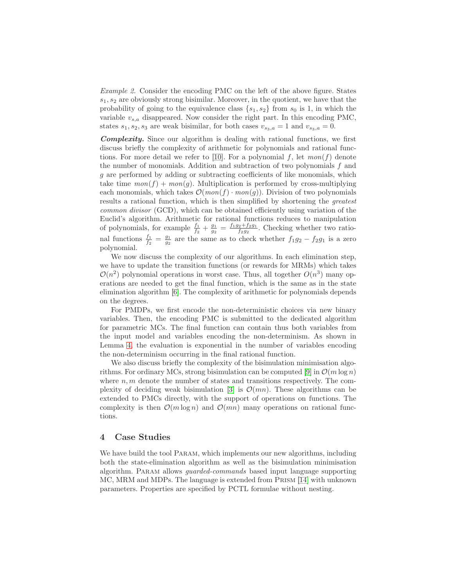*Example 2.* Consider the encoding PMC on the left of the above figure. States  $s_1, s_2$  are obviously strong bisimilar. Moreover, in the quotient, we have that the probability of going to the equivalence class  $\{s_1, s_2\}$  from  $s_0$  is 1, in which the variable  $v_{s,a}$  disappeared. Now consider the right part. In this encoding PMC, states  $s_1, s_2, s_3$  are weak bisimilar, for both cases  $v_{s_3,a} = 1$  and  $v_{s_3,a} = 0$ .

Complexity. Since our algorithm is dealing with rational functions, we first discuss briefly the complexity of arithmetic for polynomials and rational func-tions. For more detail we refer to [\[10\]](#page-17-14). For a polynomial f, let  $mon(f)$  denote the number of monomials. Addition and subtraction of two polynomials f and g are performed by adding or subtracting coefficients of like monomials, which take time  $mon(f) + mon(g)$ . Multiplication is performed by cross-multiplying each monomials, which takes  $\mathcal{O}(mon(f) \cdot mon(g))$ . Division of two polynomials results a rational function, which is then simplified by shortening the *greatest common divisor* (GCD), which can be obtained efficiently using variation of the Euclid's algorithm. Arithmetic for rational functions reduces to manipulation of polynomials, for example  $\frac{f_1}{f_2} + \frac{g_1}{g_2} = \frac{f_1g_2+f_2g_1}{f_2g_2}$ . Checking whether two rational functions  $\frac{f_1}{f_2} = \frac{g_1}{g_2}$  are the same as to check whether  $f_1g_2 - f_2g_1$  is a zero polynomial.

We now discuss the complexity of our algorithms. In each elimination step, we have to update the transition functions (or rewards for MRMs) which takes  $\mathcal{O}(n^2)$  polynomial operations in worst case. Thus, all together  $O(n^3)$  many operations are needed to get the final function, which is the same as in the state elimination algorithm [\[6\]](#page-17-15). The complexity of arithmetic for polynomials depends on the degrees.

For PMDPs, we first encode the non-deterministic choices via new binary variables. Then, the encoding PMC is submitted to the dedicated algorithm for parametric MCs. The final function can contain thus both variables from the input model and variables encoding the non-determinism. As shown in Lemma [4,](#page-10-0) the evaluation is exponential in the number of variables encoding the non-determinism occurring in the final rational function.

We also discuss briefly the complexity of the bisimulation minimisation algo-rithms. For ordinary MCs, strong bisimulation can be computed [\[9\]](#page-17-4) in  $\mathcal{O}(m \log n)$ where  $n, m$  denote the number of states and transitions respectively. The com-plexity of deciding weak bisimulation [\[3\]](#page-17-5) is  $\mathcal{O}(mn)$ . These algorithms can be extended to PMCs directly, with the support of operations on functions. The complexity is then  $\mathcal{O}(m \log n)$  and  $\mathcal{O}(mn)$  many operations on rational functions.

#### <span id="page-11-0"></span>4 Case Studies

We have build the tool PARAM, which implements our new algorithms, including both the state-elimination algorithm as well as the bisimulation minimisation algorithm. Param allows *guarded-commands* based input language supporting MC, MRM and MDPs. The language is extended from Prism [\[14\]](#page-17-16) with unknown parameters. Properties are specified by PCTL formulae without nesting.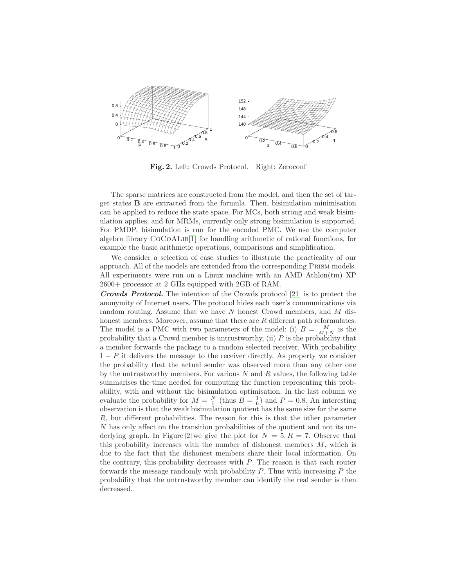

<span id="page-12-0"></span>Fig. 2. Left: Crowds Protocol. Right: Zeroconf

The sparse matrices are constructed from the model, and then the set of target states B are extracted from the formula. Then, bisimulation minimisation can be applied to reduce the state space. For MCs, both strong and weak bisimulation applies, and for MRMs, currently only strong bisimulation is supported. For PMDP, bisimulation is run for the encoded PMC. We use the computer algebra library  $COCOALIB[1]$  $COCOALIB[1]$  for handling arithmetic of rational functions, for example the basic arithmetic operations, comparisons and simplification.

We consider a selection of case studies to illustrate the practicality of our approach. All of the models are extended from the corresponding Prism models. All experiments were run on a Linux machine with an AMD Athlon $(tm)$  XP 2600+ processor at 2 GHz equipped with 2GB of RAM.

Crowds Protocol. The intention of the Crowds protocol [\[21\]](#page-17-18) is to protect the anonymity of Internet users. The protocol hides each user's communications via random routing. Assume that we have N honest Crowd members, and M dishonest members. Moreover, assume that there are  $R$  different path reformulates. The model is a PMC with two parameters of the model: (i)  $B = \frac{M}{M+N}$  is the probability that a Crowd member is untrustworthy, (ii)  $P$  is the probability that a member forwards the package to a random selected receiver. With probability  $1 - P$  it delivers the message to the receiver directly. As property we consider the probability that the actual sender was observed more than any other one by the untrustworthy members. For various  $N$  and  $R$  values, the following table summarises the time needed for computing the function representing this probability, with and without the bisimulation optimisation. In the last column we evaluate the probability for  $M = \frac{N}{5}$  (thus  $B = \frac{1}{6}$ ) and  $P = 0.8$ . An interesting observation is that the weak bisimulation quotient has the same size for the same R, but different probabilities. The reason for this is that the other parameter N has only affect on the transition probabilities of the quotient and not its un-derlying graph. In Figure [2](#page-12-0) we give the plot for  $N = 5, R = 7$ . Observe that this probability increases with the number of dishonest members  $M$ , which is due to the fact that the dishonest members share their local information. On the contrary, this probability decreases with P. The reason is that each router forwards the message randomly with probability  $P$ . Thus with increasing  $P$  the probability that the untrustworthy member can identify the real sender is then decreased.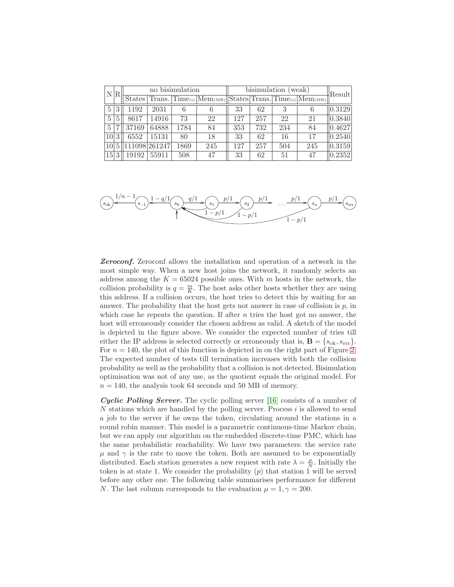| N           | $R_{\rm}$         |                    |       | no bisimulation |                                                                                 | bisimulation (weak) | $\rm\, Result $ |     |     |        |
|-------------|-------------------|--------------------|-------|-----------------|---------------------------------------------------------------------------------|---------------------|-----------------|-----|-----|--------|
|             |                   |                    |       |                 | $\overline{\text{States}}$ Trans. Time(s) Mem(MB) States Trans. Time(s) Mem(MB) |                     |                 |     |     |        |
| 5           |                   | 1192               | 2031  | 6               | 6                                                                               | 33                  | 62              | 3   |     | 0.3129 |
| 5           |                   | 8617               | 14916 | 73              | 22                                                                              | 127                 | 257             | 22  | 21  | 0.3840 |
| $5^{\circ}$ |                   | 37169              | 64888 | 1784            | 84                                                                              | 353                 | 732             | 234 | 84  | 0.4627 |
| 10          | $\mathcal{E}$     | 6552               | 15131 | 80              | 18                                                                              | 33                  | 62              | 16  | 17  | 0.2540 |
|             |                   | 10 5 111098 261247 |       | 1869            | 245                                                                             | 127                 | 257             | 504 | 245 | 0.3159 |
| 15          | $\lvert 3 \rvert$ | 19192              | 55911 | 508             | 47                                                                              | 33                  | 62              | 51  | 47  | 0.2352 |



**Zeroconf.** Zeroconf allows the installation and operation of a network in the most simple way. When a new host joins the network, it randomly selects an address among the  $K = 65024$  possible ones. With m hosts in the network, the collision probability is  $q = \frac{m}{K}$ . The host asks other hosts whether they are using this address. If a collision occurs, the host tries to detect this by waiting for an answer. The probability that the host gets not answer in case of collision is  $p$ , in which case he repeats the question. If after  $n$  tries the host got no answer, the host will erroneously consider the chosen address as valid. A sketch of the model is depicted in the figure above. We consider the expected number of tries till either the IP address is selected correctly or erroneously that is,  $\mathbf{B} = \{s_{ok}, s_{err}\}.$ For  $n = 140$ , the plot of this function is depicted in on the right part of Figure [2.](#page-12-0) The expected number of tests till termination increases with both the collision probability as well as the probability that a collision is not detected. Bisimulation optimisation was not of any use, as the quotient equals the original model. For  $n = 140$ , the analysis took 64 seconds and 50 MB of memory.

**Cyclic Polling Server.** The cyclic polling server  $[16]$  consists of a number of N stations which are handled by the polling server. Process i is allowed to send a job to the server if he owns the token, circulating around the stations in a round robin manner. This model is a parametric continuous-time Markov chain, but we can apply our algorithm on the embedded discrete-time PMC, which has the same probabilistic reachability. We have two parameters: the service rate  $\mu$  and  $\gamma$  is the rate to move the token. Both are assumed to be exponentially distributed. Each station generates a new request with rate  $\lambda = \frac{\mu}{N}$ . Initially the token is at state 1. We consider the probability  $(p)$  that station 1 will be served before any other one. The following table summarises performance for different N. The last column corresponds to the evaluation  $\mu = 1, \gamma = 200$ .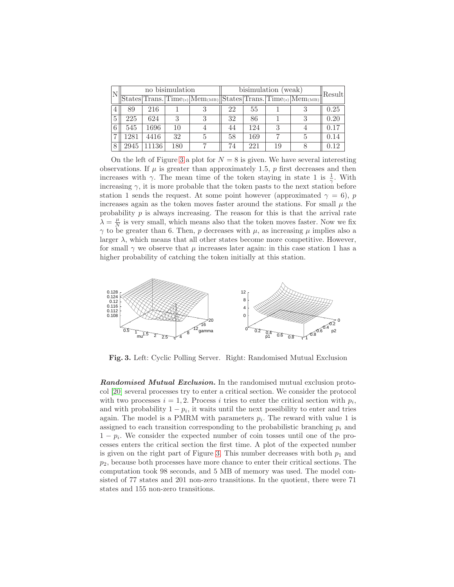| $\overline{\rm N}$ |      |       | no bisimulation |                                                                                                                                                                                                                               | bisimulation (weak) | Result |    |  |      |
|--------------------|------|-------|-----------------|-------------------------------------------------------------------------------------------------------------------------------------------------------------------------------------------------------------------------------|---------------------|--------|----|--|------|
|                    |      |       |                 | $\left \frac{\text{States}}{\text{Trans.}}\right  \text{Time}_{\text{(s)}} \right  \text{Mean}_{\text{(MB)}} \left \frac{\text{States}}{\text{Trans.}}\right  \text{Time}_{\text{(s)}} \left \text{Mem}_{\text{(MB)}}\right $ |                     |        |    |  |      |
| 4                  | 89   | 216   |                 |                                                                                                                                                                                                                               | 22                  | 55     |    |  | 0.25 |
| 5                  | 225  | 624   | 2               |                                                                                                                                                                                                                               | 32                  | 86     |    |  | 0.20 |
| 6                  | 545  | 1696  | 10              |                                                                                                                                                                                                                               | 44                  | 124    | 3  |  | 0.17 |
| $\overline{ }$     | 1281 | 4416  | 32              | 5                                                                                                                                                                                                                             | 58                  | 169    |    |  | 0.14 |
| 8                  | 2945 | 11136 | 180             |                                                                                                                                                                                                                               | 74                  | 221    | 19 |  | 0.12 |

On the left of Figure [3](#page-14-0) a plot for  $N = 8$  is given. We have several interesting observations. If  $\mu$  is greater than approximately 1.5,  $p$  first decreases and then increases with  $\gamma$ . The mean time of the token staying in state 1 is  $\frac{1}{\gamma}$ . With increasing  $\gamma$ , it is more probable that the token pasts to the next station before station 1 sends the request. At some point however (approximated  $\gamma = 6$ ), p increases again as the token moves faster around the stations. For small  $\mu$  the probability  $p$  is always increasing. The reason for this is that the arrival rate  $\lambda = \frac{\mu}{N}$  is very small, which means also that the token moves faster. Now we fix  $\gamma$  to be greater than 6. Then, p decreases with  $\mu$ , as increasing  $\mu$  implies also a larger  $\lambda$ , which means that all other states become more competitive. However, for small  $\gamma$  we observe that  $\mu$  increases later again: in this case station 1 has a higher probability of catching the token initially at this station.



Fig. 3. Left: Cyclic Polling Server. Right: Randomised Mutual Exclusion

<span id="page-14-0"></span>Randomised Mutual Exclusion. In the randomised mutual exclusion protocol [\[20\]](#page-17-20) several processes try to enter a critical section. We consider the protocol with two processes  $i = 1, 2$ . Process i tries to enter the critical section with  $p_i$ , and with probability  $1 - p_i$ , it waits until the next possibility to enter and tries again. The model is a PMRM with parameters  $p_i$ . The reward with value 1 is assigned to each transition corresponding to the probabilistic branching  $p_i$  and  $1 - p_i$ . We consider the expected number of coin tosses until one of the processes enters the critical section the first time. A plot of the expected number is given on the right part of Figure [3.](#page-14-0) This number decreases with both  $p_1$  and  $p_2$ , because both processes have more chance to enter their critical sections. The computation took 98 seconds, and 5 MB of memory was used. The model consisted of 77 states and 201 non-zero transitions. In the quotient, there were 71 states and 155 non-zero transitions.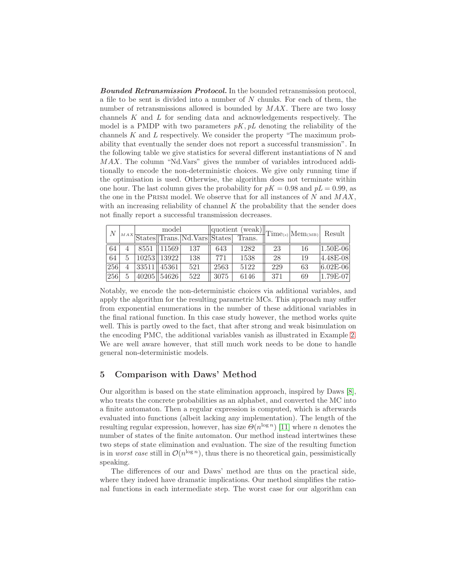Bounded Retransmission Protocol. In the bounded retransmission protocol, a file to be sent is divided into a number of  $N$  chunks. For each of them, the number of retransmissions allowed is bounded by  $MAX$ . There are two lossy channels  $K$  and  $L$  for sending data and acknowledgements respectively. The model is a PMDP with two parameters  $pK$ ,  $pL$  denoting the reliability of the channels  $K$  and  $L$  respectively. We consider the property "The maximum probability that eventually the sender does not report a successful transmission". In the following table we give statistics for several different instantiations of N and MAX. The column "Nd.Vars" gives the number of variables introduced additionally to encode the non-deterministic choices. We give only running time if the optimisation is used. Otherwise, the algorithm does not terminate within one hour. The last column gives the probability for  $pK = 0.98$  and  $pL = 0.99$ , as the one in the PRISM model. We observe that for all instances of N and  $MAX$ , with an increasing reliability of channel  $K$  the probability that the sender does not finally report a successful transmission decreases.

| N   |   | model |                 |                                                      |      | $\lVert \overline{\text{quotient}}\textcolor{red}{\fVert}(\overline{\text{weak}})\big \lVert \text{Time}_{\text{\tiny{(s)}}}\big \text{Mem}_{\text{\tiny{(MB)}}}\big $ |     |    | Result       |
|-----|---|-------|-----------------|------------------------------------------------------|------|------------------------------------------------------------------------------------------------------------------------------------------------------------------------|-----|----|--------------|
|     |   |       |                 | $\vert M^{MAX} \vert$ States  Trans. Nd.Vars  States |      | Trans.                                                                                                                                                                 |     |    |              |
| 64  |   | 8551  | 11569           | 137                                                  | 643  | 1282                                                                                                                                                                   | 23  | 16 | $ 1.50E-06 $ |
| 64  | 5 |       | $10253$   13922 | 138                                                  | 771  | 1538                                                                                                                                                                   | 28  | 19 | $ 4.48E-08 $ |
| 256 |   | 33511 | 45361           | 521                                                  | 2563 | 5122                                                                                                                                                                   | 229 | 63 | $6.02E - 06$ |
| 256 |   |       | $40205$   54626 | 522                                                  | 3075 | 6146                                                                                                                                                                   | 371 | 69 | $1.79E-07$   |

Notably, we encode the non-deterministic choices via additional variables, and apply the algorithm for the resulting parametric MCs. This approach may suffer from exponential enumerations in the number of these additional variables in the final rational function. In this case study however, the method works quite well. This is partly owed to the fact, that after strong and weak bisimulation on the encoding PMC, the additional variables vanish as illustrated in Example [2.](#page-10-1) We are well aware however, that still much work needs to be done to handle general non-deterministic models.

# <span id="page-15-0"></span>5 Comparison with Daws' Method

Our algorithm is based on the state elimination approach, inspired by Daws [\[8\]](#page-17-1), who treats the concrete probabilities as an alphabet, and converted the MC into a finite automaton. Then a regular expression is computed, which is afterwards evaluated into functions (albeit lacking any implementation). The length of the resulting regular expression, however, has size  $\Theta(n^{\log n})$  [\[11\]](#page-17-3) where n denotes the number of states of the finite automaton. Our method instead intertwines these two steps of state elimination and evaluation. The size of the resulting function is in *worst case* still in  $\mathcal{O}(n^{\log n})$ , thus there is no theoretical gain, pessimistically speaking.

The differences of our and Daws' method are thus on the practical side, where they indeed have dramatic implications. Our method simplifies the rational functions in each intermediate step. The worst case for our algorithm can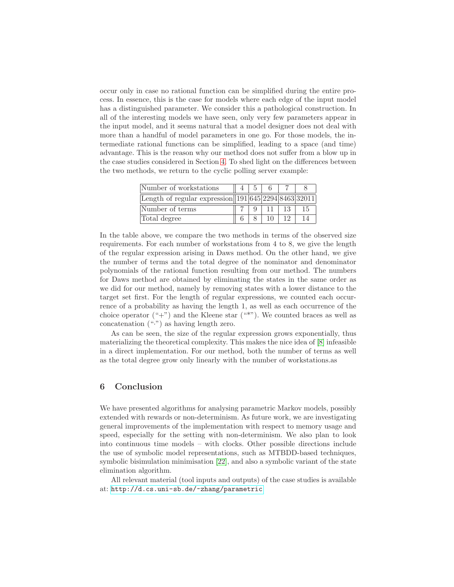occur only in case no rational function can be simplified during the entire process. In essence, this is the case for models where each edge of the input model has a distinguished parameter. We consider this a pathological construction. In all of the interesting models we have seen, only very few parameters appear in the input model, and it seems natural that a model designer does not deal with more than a handful of model parameters in one go. For those models, the intermediate rational functions can be simplified, leading to a space (and time) advantage. This is the reason why our method does not suffer from a blow up in the case studies considered in Section [4.](#page-11-0) To shed light on the differences between the two methods, we return to the cyclic polling server example:

| Number of workstations                                   |  |  |    |
|----------------------------------------------------------|--|--|----|
| Length of regular expression $  191 645 2294 8463 32011$ |  |  |    |
| Number of terms                                          |  |  | 15 |
| Total degree                                             |  |  |    |

In the table above, we compare the two methods in terms of the observed size requirements. For each number of workstations from 4 to 8, we give the length of the regular expression arising in Daws method. On the other hand, we give the number of terms and the total degree of the nominator and denominator polynomials of the rational function resulting from our method. The numbers for Daws method are obtained by eliminating the states in the same order as we did for our method, namely by removing states with a lower distance to the target set first. For the length of regular expressions, we counted each occurrence of a probability as having the length 1, as well as each occurrence of the choice operator  $($ "+") and the Kleene star  $($ "\*"). We counted braces as well as concatenation ("") as having length zero.

As can be seen, the size of the regular expression grows exponentially, thus materializing the theoretical complexity. This makes the nice idea of [\[8\]](#page-17-1) infeasible in a direct implementation. For our method, both the number of terms as well as the total degree grow only linearly with the number of workstations.as

## <span id="page-16-0"></span>6 Conclusion

We have presented algorithms for analysing parametric Markov models, possibly extended with rewards or non-determinism. As future work, we are investigating general improvements of the implementation with respect to memory usage and speed, especially for the setting with non-determinism. We also plan to look into continuous time models – with clocks. Other possible directions include the use of symbolic model representations, such as MTBDD-based techniques, symbolic bisimulation minimisation [\[22\]](#page-17-21), and also a symbolic variant of the state elimination algorithm.

All relevant material (tool inputs and outputs) of the case studies is available at: <http://d.cs.uni-sb.de/~zhang/parametric>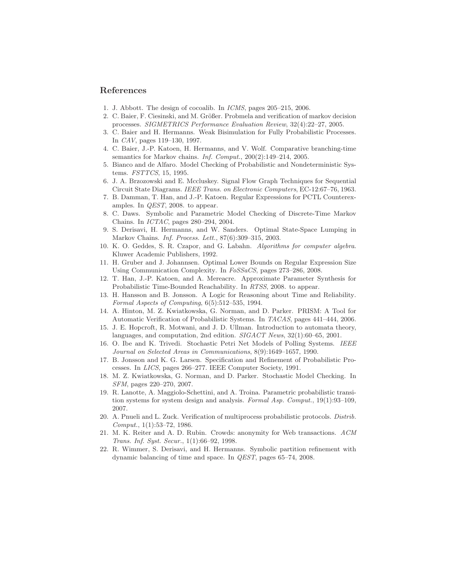#### <span id="page-17-17"></span><span id="page-17-0"></span>References

- 1. J. Abbott. The design of cocoalib. In ICMS, pages 205–215, 2006.
- 2. C. Baier, F. Ciesinski, and M. Größer. Probmela and verification of markov decision processes. SIGMETRICS Performance Evaluation Review, 32(4):22–27, 2005.
- <span id="page-17-10"></span><span id="page-17-5"></span>3. C. Baier and H. Hermanns. Weak Bisimulation for Fully Probabilistic Processes. In CAV, pages 119–130, 1997.
- <span id="page-17-12"></span>4. C. Baier, J.-P. Katoen, H. Hermanns, and V. Wolf. Comparative branching-time semantics for Markov chains. *Inf. Comput.*, 200(2):149–214, 2005.
- <span id="page-17-15"></span>5. Bianco and de Alfaro. Model Checking of Probabilistic and Nondeterministic Systems. FSTTCS, 15, 1995.
- 6. J. A. Brzozowski and E. Mccluskey. Signal Flow Graph Techniques for Sequential Circuit State Diagrams. IEEE Trans. on Electronic Computers, EC-12:67–76, 1963.
- <span id="page-17-8"></span>7. B. Damman, T. Han, and J.-P. Katoen. Regular Expressions for PCTL Counterexamples. In QEST, 2008. to appear.
- <span id="page-17-1"></span>8. C. Daws. Symbolic and Parametric Model Checking of Discrete-Time Markov Chains. In ICTAC, pages 280–294, 2004.
- <span id="page-17-4"></span>9. S. Derisavi, H. Hermanns, and W. Sanders. Optimal State-Space Lumping in Markov Chains. Inf. Process. Lett., 87(6):309–315, 2003.
- <span id="page-17-14"></span>10. K. O. Geddes, S. R. Czapor, and G. Labahn. Algorithms for computer algebra. Kluwer Academic Publishers, 1992.
- <span id="page-17-3"></span>11. H. Gruber and J. Johannsen. Optimal Lower Bounds on Regular Expression Size Using Communication Complexity. In FoSSaCS, pages 273–286, 2008.
- <span id="page-17-7"></span>12. T. Han, J.-P. Katoen, and A. Mereacre. Approximate Parameter Synthesis for Probabilistic Time-Bounded Reachability. In RTSS, 2008. to appear.
- <span id="page-17-13"></span>13. H. Hansson and B. Jonsson. A Logic for Reasoning about Time and Reliability. Formal Aspects of Computing, 6(5):512–535, 1994.
- <span id="page-17-16"></span>14. A. Hinton, M. Z. Kwiatkowska, G. Norman, and D. Parker. PRISM: A Tool for Automatic Verification of Probabilistic Systems. In TACAS, pages 441–444, 2006.
- <span id="page-17-2"></span>15. J. E. Hopcroft, R. Motwani, and J. D. Ullman. Introduction to automata theory, languages, and computation, 2nd edition. SIGACT News, 32(1):60–65, 2001.
- <span id="page-17-19"></span><span id="page-17-9"></span>16. O. Ibe and K. Trivedi. Stochastic Petri Net Models of Polling Systems. IEEE Journal on Selected Areas in Communications, 8(9):1649–1657, 1990.
- 17. B. Jonsson and K. G. Larsen. Specification and Refinement of Probabilistic Processes. In LICS, pages 266–277. IEEE Computer Society, 1991.
- <span id="page-17-11"></span>18. M. Z. Kwiatkowska, G. Norman, and D. Parker. Stochastic Model Checking. In SFM, pages 220–270, 2007.
- <span id="page-17-6"></span>19. R. Lanotte, A. Maggiolo-Schettini, and A. Troina. Parametric probabilistic transition systems for system design and analysis. Formal Asp. Comput., 19(1):93–109, 2007.
- <span id="page-17-20"></span>20. A. Pnueli and L. Zuck. Verification of multiprocess probabilistic protocols. Distrib. Comput., 1(1):53–72, 1986.
- <span id="page-17-18"></span>21. M. K. Reiter and A. D. Rubin. Crowds: anonymity for Web transactions. ACM Trans. Inf. Syst. Secur., 1(1):66–92, 1998.
- <span id="page-17-21"></span>22. R. Wimmer, S. Derisavi, and H. Hermanns. Symbolic partition refinement with dynamic balancing of time and space. In QEST, pages 65–74, 2008.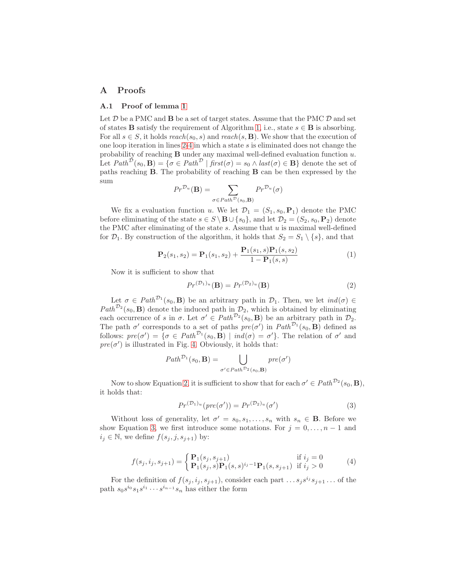## <span id="page-18-0"></span>A Proofs

#### A.1 Proof of lemma [1](#page-7-1)

Let  $D$  be a PMC and  $B$  be a set of target states. Assume that the PMC  $D$  and set of states **B** satisfy the requirement of Algorithm [1,](#page-6-0) i.e., state  $s \in \mathbf{B}$  is absorbing. For all  $s \in S$ , it holds  $reach(s_0, s)$  and  $reach(s, B)$ . We show that the execution of one loop iteration in lines [2](#page-7-2)[-4](#page-7-3) in which a state s is eliminated does not change the probability of reaching  $\bf{B}$  under any maximal well-defined evaluation function  $u$ . Let  $Path^{\mathcal{D}}(s_0, \mathbf{B}) = {\sigma \in Path^{\mathcal{D}} | first(\sigma) = s_0 \land last(\sigma) \in \mathbf{B}}$  denote the set of paths reaching B. The probability of reaching B can be then expressed by the sum

$$
Pr^{\mathcal{D}_u}(\mathbf{B}) = \sum_{\sigma \in Path^{\mathcal{D}}(s_0, \mathbf{B})} Pr^{\mathcal{D}_u}(\sigma)
$$

We fix a evaluation function u. We let  $\mathcal{D}_1 = (S_1, s_0, \mathbf{P}_1)$  denote the PMC before eliminating of the state  $s \in S \setminus \mathbf{B} \cup \{s_0\}$ , and let  $\mathcal{D}_2 = (S_2, s_0, \mathbf{P}_2)$  denote the PMC after eliminating of the state  $s$ . Assume that  $u$  is maximal well-defined for  $\mathcal{D}_1$ . By construction of the algorithm, it holds that  $S_2 = S_1 \setminus \{s\}$ , and that

$$
\mathbf{P}_2(s_1, s_2) = \mathbf{P}_1(s_1, s_2) + \frac{\mathbf{P}_1(s_1, s)\mathbf{P}_1(s, s_2)}{1 - \mathbf{P}_1(s, s)}
$$
(1)

Now it is sufficient to show that

<span id="page-18-3"></span><span id="page-18-1"></span>
$$
Pr^{(\mathcal{D}_1)_u}(\mathbf{B}) = Pr^{(\mathcal{D}_2)_u}(\mathbf{B})
$$
\n(2)

Let  $\sigma \in Path^{\mathcal{D}_1}(s_0, \mathbf{B})$  be an arbitrary path in  $\mathcal{D}_1$ . Then, we let  $ind(\sigma) \in$  $Path^{\mathcal{D}_2}(s_0, \mathbf{B})$  denote the induced path in  $\mathcal{D}_2$ , which is obtained by eliminating each occurrence of s in  $\sigma$ . Let  $\sigma' \in Path^{\mathcal{D}_2}(s_0, \mathbf{B})$  be an arbitrary path in  $\mathcal{D}_2$ . The path  $\sigma'$  corresponds to a set of paths  $pre(\sigma')$  in  $Path^{\mathcal{D}_1}(s_0, \mathbf{B})$  defined as follows:  $pre(\sigma') = {\sigma \in Path^{D_1}(s_0, B) | ind(\sigma) = \sigma'}$ . The relation of  $\sigma'$  and  $pre(\sigma')$  is illustrated in Fig. [4.](#page-19-0) Obviously, it holds that:

$$
Path^{\mathcal{D}_1}(s_0, \mathbf{B}) = \bigcup_{\sigma' \in Path^{\mathcal{D}_2}(s_0, \mathbf{B})} pre(\sigma')
$$

Now to show Equation [2,](#page-18-1) it is sufficient to show that for each  $\sigma' \in Path^{\mathcal{D}_2}(s_0, \mathbf{B}),$ it holds that:

<span id="page-18-4"></span><span id="page-18-2"></span>
$$
Pr^{(\mathcal{D}_1)_u}(pre(\sigma')) = Pr^{(\mathcal{D}_2)_u}(\sigma')
$$
\n(3)

Without loss of generality, let  $\sigma' = s_0, s_1, \ldots, s_n$  with  $s_n \in \mathbf{B}$ . Before we show Equation [3,](#page-18-2) we first introduce some notations. For  $j = 0, \ldots, n - 1$  and  $i_j \in \mathbb{N}$ , we define  $f(s_j, j, s_{j+1})$  by:

$$
f(s_j, i_j, s_{j+1}) = \begin{cases} \mathbf{P}_1(s_j, s_{j+1}) & \text{if } i_j = 0\\ \mathbf{P}_1(s_j, s) \mathbf{P}_1(s, s)^{i_j - 1} \mathbf{P}_1(s, s_{j+1}) & \text{if } i_j > 0 \end{cases}
$$
(4)

For the definition of  $f(s_j, i_j, s_{j+1})$ , consider each part  $\ldots s_j s^{i_j} s_{j+1} \ldots$  of the path  $s_0 s^{i_0} s_1 s^{i_1} \cdots s^{i_{n-1}} s_n$  has either the form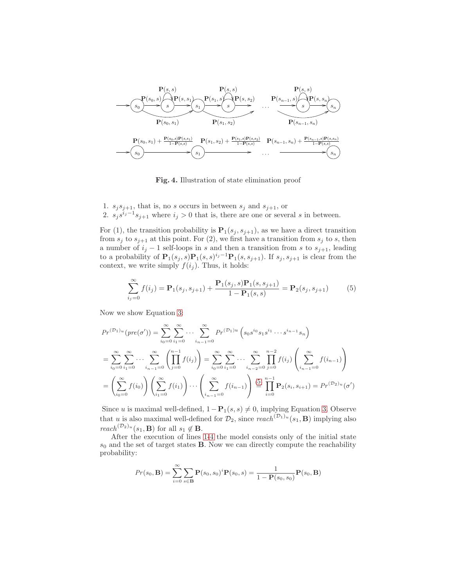

<span id="page-19-0"></span>Fig. 4. Illustration of state elimination proof

- 1.  $s_j s_{j+1}$ , that is, no s occurs in between  $s_j$  and  $s_{j+1}$ , or
- 2.  $s_j s^{i_j-1} s_{j+1}$  where  $i_j > 0$  that is, there are one or several s in between.

For (1), the transition probability is  $P_1(s_j, s_{j+1})$ , as we have a direct transition from  $s_i$  to  $s_{i+1}$  at this point. For (2), we first have a transition from  $s_i$  to s, then a number of  $i_j - 1$  self-loops in s and then a transition from s to  $s_{j+1}$ , leading to a probability of  $\mathbf{P}_1(s_j,s)\mathbf{P}_1(s,s)^{i_j-1}\mathbf{P}_1(s,s_{j+1})$ . If  $s_j,s_{j+1}$  is clear from the context, we write simply  $f(i<sub>i</sub>)$ . Thus, it holds:

<span id="page-19-1"></span>
$$
\sum_{i_j=0}^{\infty} f(i_j) = \mathbf{P}_1(s_j, s_{j+1}) + \frac{\mathbf{P}_1(s_j, s)\mathbf{P}_1(s, s_{j+1})}{1 - \mathbf{P}_1(s, s)} = \mathbf{P}_2(s_j, s_{j+1})
$$
(5)

Now we show Equation [3:](#page-18-2)

$$
Pr^{(\mathcal{D}_1)u}(pre(\sigma')) = \sum_{i_0=0}^{\infty} \sum_{i_1=0}^{\infty} \cdots \sum_{i_{n-1}=0}^{\infty} Pr^{(\mathcal{D}_1)u}(s_0 s^{i_0} s_1 s^{i_1} \cdots s^{i_{n-1}} s_n)
$$
  
= 
$$
\sum_{i_0=0}^{\infty} \sum_{i_1=0}^{\infty} \cdots \sum_{i_{n-1}=0}^{\infty} \left( \prod_{j=0}^{n-1} f(i_j) \right) = \sum_{i_0=0}^{\infty} \sum_{i_1=0}^{\infty} \cdots \sum_{i_{n-2}=0}^{\infty} \prod_{j=0}^{n-2} f(i_j) \left( \sum_{i_{n-1}=0}^{\infty} f(i_{n-1}) \right)
$$
  
= 
$$
\left( \sum_{i_0=0}^{\infty} f(i_0) \right) \left( \sum_{i_1=0}^{\infty} f(i_1) \right) \cdots \left( \sum_{i_{n-1}=0}^{\infty} f(i_{n-1}) \right) \stackrel{(5)}{=} \prod_{i=0}^{n-1} \mathbf{P}_2(s_i, s_{i+1}) = Pr^{(\mathcal{D}_2)u}(\sigma')
$$

Since u is maximal well-defined,  $1-\mathbf{P}_1(s,s) \neq 0$ , implying Equation [3.](#page-18-2) Observe that u is also maximal well-defined for  $\mathcal{D}_2$ , since  $reach^{(\mathcal{D}_1)_u}(s_1, \mathbf{B})$  implying also *reach*<sup>(D<sub>2</sub>)<sub>u</sub></sup>( $s_1$ , **B**) for all  $s_1 \notin \mathbf{B}$ .

After the execution of lines [1](#page-7-4)[-4](#page-7-3) the model consists only of the initial state  $s_0$  and the set of target states **B**. Now we can directly compute the reachability probability:

$$
Pr(s_0, \mathbf{B}) = \sum_{i=0}^{\infty} \sum_{s \in \mathbf{B}} \mathbf{P}(s_0, s_0)^i \mathbf{P}(s_0, s) = \frac{1}{1 - \mathbf{P}(s_0, s_0)} \mathbf{P}(s_0, \mathbf{B})
$$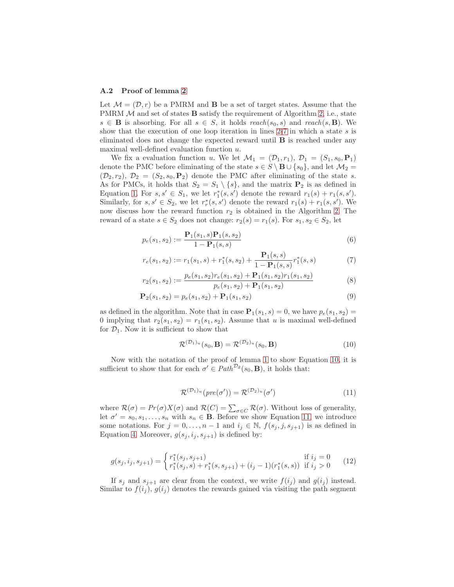#### A.2 Proof of lemma [2](#page-8-1)

Let  $\mathcal{M} = (\mathcal{D}, r)$  be a PMRM and **B** be a set of target states. Assume that the PMRM  $M$  and set of states **B** satisfy the requirement of Algorithm [2,](#page-7-0) i.e., state  $s \in \mathbf{B}$  is absorbing. For all  $s \in S$ , it holds  $reach(s_0, s)$  and  $reach(s, \mathbf{B})$ . We show that the execution of one loop iteration in lines  $2-7$  $2-7$  in which a state s is eliminated does not change the expected reward until B is reached under any maximal well-defined evaluation function u.

We fix a evaluation function u. We let  $\mathcal{M}_1 = (\mathcal{D}_1, r_1), \mathcal{D}_1 = (S_1, s_0, \mathbf{P}_1)$ denote the PMC before eliminating of the state  $s \in S \setminus \mathbf{B} \cup \{s_0\}$ , and let  $\mathcal{M}_2$  $(\mathcal{D}_2,r_2), \mathcal{D}_2 = (S_2,s_0,\mathbf{P}_2)$  denote the PMC after eliminating of the state s. As for PMCs, it holds that  $S_2 = S_1 \setminus \{s\}$ , and the matrix  $P_2$  is as defined in Equation [1.](#page-18-3) For  $s, s' \in S_1$ , we let  $r_1^*(s, s')$  denote the reward  $r_1(s) + r_1(s, s')$ . Similarly, for  $s, s' \in S_2$ , we let  $r_r^*(s, s')$  denote the reward  $r_1(s) + r_1(s, s')$ . We now discuss how the reward function  $r_2$  is obtained in the Algorithm [2.](#page-7-0) The reward of a state  $s \in S_2$  does not change:  $r_2(s) = r_1(s)$ . For  $s_1, s_2 \in S_2$ , let

<span id="page-20-3"></span>
$$
p_e(s_1, s_2) := \frac{\mathbf{P}_1(s_1, s)\mathbf{P}_1(s, s_2)}{1 - \mathbf{P}_1(s, s)}
$$
(6)

$$
r_e(s_1, s_2) := r_1(s_1, s) + r_1^*(s, s_2) + \frac{\mathbf{P}_1(s, s)}{1 - \mathbf{P}_1(s, s)} r_1^*(s, s)
$$
(7)

$$
r_2(s_1, s_2) := \frac{p_e(s_1, s_2)r_e(s_1, s_2) + \mathbf{P}_1(s_1, s_2)r_1(s_1, s_2)}{p_e(s_1, s_2) + \mathbf{P}_1(s_1, s_2)}\tag{8}
$$

$$
\mathbf{P}_2(s_1, s_2) = p_e(s_1, s_2) + \mathbf{P}_1(s_1, s_2)
$$
\n(9)

as defined in the algorithm. Note that in case  $P_1(s_1, s) = 0$ , we have  $p_e(s_1, s_2) =$ 0 implying that  $r_2(s_1,s_2) = r_1(s_1,s_2)$ . Assume that u is maximal well-defined for  $\mathcal{D}_1$ . Now it is sufficient to show that

<span id="page-20-6"></span><span id="page-20-5"></span><span id="page-20-4"></span><span id="page-20-0"></span>
$$
\mathcal{R}^{(\mathcal{D}_1)_u}(s_0, \mathbf{B}) = \mathcal{R}^{(\mathcal{D}_2)_u}(s_0, \mathbf{B})
$$
\n(10)

Now with the notation of the proof of lemma [1](#page-7-1) to show Equation [10,](#page-20-0) it is sufficient to show that for each  $\sigma' \in Path^{\mathcal{D}_2}(s_0, \mathbf{B})$ , it holds that:

<span id="page-20-2"></span><span id="page-20-1"></span>
$$
\mathcal{R}^{(\mathcal{D}_1)_u}(pre(\sigma')) = \mathcal{R}^{(\mathcal{D}_2)_u}(\sigma')
$$
\n(11)

where  $\mathcal{R}(\sigma) = Pr(\sigma)X(\sigma)$  and  $\mathcal{R}(C) = \sum_{\sigma \in C} \mathcal{R}(\sigma)$ . Without loss of generality, let  $\sigma' = s_0, s_1, \ldots, s_n$  with  $s_n \in \mathbf{B}$ . Before we show Equation [11,](#page-20-1) we introduce some notations. For  $j = 0, \ldots, n-1$  and  $i_j \in \mathbb{N}, f(s_j, j, s_{j+1})$  is as defined in Equation [4.](#page-18-4) Moreover,  $g(s_j, i_j, s_{j+1})$  is defined by:

$$
g(s_j, i_j, s_{j+1}) = \begin{cases} r_1^*(s_j, s_{j+1}) & \text{if } i_j = 0\\ r_1^*(s_j, s) + r_1^*(s, s_{j+1}) + (i_j - 1)(r_1^*(s, s)) & \text{if } i_j > 0 \end{cases}
$$
(12)

If  $s_j$  and  $s_{j+1}$  are clear from the context, we write  $f(i_j)$  and  $g(i_j)$  instead. Similar to  $f(i_j)$ ,  $g(i_j)$  denotes the rewards gained via visiting the path segment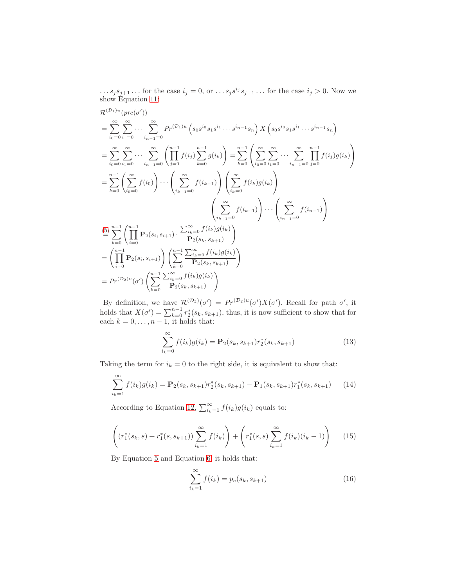$\ldots s_j s_{j+1} \ldots$  for the case  $i_j = 0$ , or  $\ldots s_j s^{i_j} s_{j+1} \ldots$  for the case  $i_j > 0$ . Now we show Equation [11:](#page-20-1)

$$
\mathcal{R}^{(D_1)_u}(pre(\sigma'))
$$
\n
$$
= \sum_{i_0=0}^{\infty} \sum_{i_1=0}^{\infty} \cdots \sum_{i_{n-1}=0}^{\infty} Pr^{(D_1)_u} (s_0 s^{i_0} s_1 s^{i_1} \cdots s^{i_{n-1}} s_n) X (s_0 s^{i_0} s_1 s^{i_1} \cdots s^{i_{n-1}} s_n)
$$
\n
$$
= \sum_{i_0=0}^{\infty} \sum_{i_1=0}^{\infty} \cdots \sum_{i_{n-1}=0}^{\infty} \left( \prod_{j=0}^{n-1} f(i_j) \sum_{k=0}^{n-1} g(i_k) \right) = \sum_{k=0}^{n-1} \left( \sum_{i_0=0}^{\infty} \sum_{i_1=0}^{\infty} \cdots \sum_{i_{n-1}=0}^{\infty} \prod_{j=0}^{n-1} f(i_j) g(i_k) \right)
$$
\n
$$
= \sum_{k=0}^{n-1} \left( \sum_{i_0=0}^{\infty} f(i_0) \right) \cdots \left( \sum_{i_{k-1}=0}^{\infty} f(i_{k-1}) \right) \left( \sum_{i_k=0}^{\infty} f(i_k) g(i_k) \right)
$$
\n
$$
\left( \sum_{i_{k+1}=0}^{\infty} f(i_{k+1}) \right) \cdots \left( \sum_{i_{n-1}=0}^{\infty} f(i_{n-1}) \right)
$$
\n
$$
\stackrel{\text{(5)}{=} \sum_{k=0}^{n-1} \left( \prod_{i=0}^{n-1} \mathbf{P}_2(s_i, s_{i+1}) \cdot \frac{\sum_{i_k=0}^{\infty} f(i_k) g(i_k)}{\mathbf{P}_2(s_k, s_{k+1})} \right)
$$
\n
$$
= \left( \prod_{i=0}^{n-1} \mathbf{P}_2(s_i, s_{i+1}) \right) \left( \sum_{k=0}^{n-1} \frac{\sum_{i_k=0}^{\infty} f(i_k) g(i_k)}{\mathbf{P}_2(s_k, s_{k+1})} \right)
$$
\n
$$
= Pr^{(D_2)u}(\sigma') \left( \sum_{k=0}^{n-1} \frac{\sum_{i_k
$$

By definition, we have  $\mathcal{R}^{(\mathcal{D}_2)}(\sigma') = Pr^{(\mathcal{D}_2)u}(\sigma')X(\sigma')$ . Recall for path  $\sigma'$ , it holds that  $X(\sigma') = \sum_{k=0}^{n-1} r_2^*(s_k, s_{k+1})$ , thus, it is now sufficient to show that for each  $k = 0, \ldots, n - 1$ , it holds that:

$$
\sum_{i_k=0}^{\infty} f(i_k)g(i_k) = \mathbf{P}_2(s_k, s_{k+1})r_2^*(s_k, s_{k+1})
$$
\n(13)

Taking the term for  $i_k=0$  to the right side, it is equivalent to show that:

$$
\sum_{i_k=1}^{\infty} f(i_k)g(i_k) = \mathbf{P}_2(s_k, s_{k+1})r_2^*(s_k, s_{k+1}) - \mathbf{P}_1(s_k, s_{k+1})r_1^*(s_k, s_{k+1}) \tag{14}
$$

According to Equation [12,](#page-20-2)  $\sum_{i_k=1}^{\infty} f(i_k)g(i_k)$  equals to:

$$
\left( (r_1^*(s_k, s) + r_1^*(s, s_{k+1})) \sum_{i_k=1}^{\infty} f(i_k) \right) + \left( r_1^*(s, s) \sum_{i_k=1}^{\infty} f(i_k)(i_k - 1) \right) \tag{15}
$$

By Equation [5](#page-19-1) and Equation [6,](#page-20-3) it holds that:

<span id="page-21-2"></span><span id="page-21-1"></span><span id="page-21-0"></span>
$$
\sum_{i_k=1}^{\infty} f(i_k) = p_e(s_k, s_{k+1})
$$
\n(16)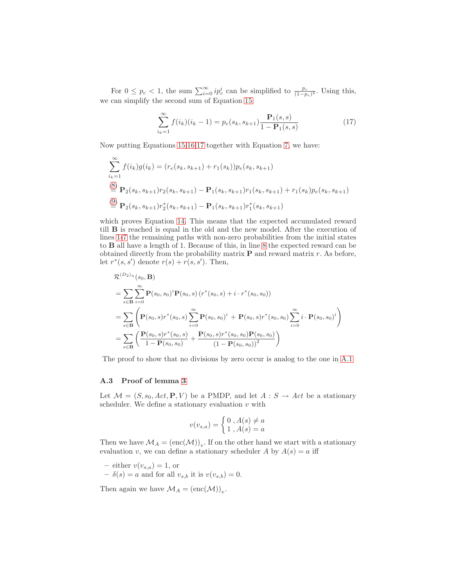For  $0 \leq p_c < 1$ , the sum  $\sum_{i=0}^{\infty} i p_c^i$  can be simplified to  $\frac{p_c}{(1-p_c)^2}$ . Using this, we can simplify the second sum of Equation [15:](#page-21-0)

<span id="page-22-0"></span>
$$
\sum_{i_k=1}^{\infty} f(i_k)(i_k - 1) = p_e(s_k, s_{k+1}) \frac{\mathbf{P}_1(s, s)}{1 - \mathbf{P}_1(s, s)}
$$
(17)

Now putting Equations [15,](#page-21-0)[16,](#page-21-1)[17](#page-22-0) together with Equation [7,](#page-20-4) we have:

$$
\sum_{i_k=1}^{\infty} f(i_k)g(i_k) = (r_e(s_k, s_{k+1}) + r_1(s_k))p_e(s_k, s_{k+1})
$$
  
\n
$$
\stackrel{(8)}{=} \mathbf{P}_2(s_k, s_{k+1})r_2(s_k, s_{k+1}) - \mathbf{P}_1(s_k, s_{k+1})r_1(s_k, s_{k+1}) + r_1(s_k)p_e(s_k, s_{k+1})
$$
  
\n
$$
\stackrel{(9)}{=} \mathbf{P}_2(s_k, s_{k+1})r_2^*(s_k, s_{k+1}) - \mathbf{P}_1(s_k, s_{k+1})r_1^*(s_k, s_{k+1})
$$

which proves Equation [14.](#page-21-2) This means that the expected accumulated reward till B is reached is equal in the old and the new model. After the execution of lines [1-](#page-7-4)[7](#page-7-5) the remaining paths with non-zero probabilities from the initial states to B all have a length of 1. Because of this, in line [8](#page-7-6) the expected reward can be obtained directly from the probability matrix  $P$  and reward matrix  $r$ . As before, let  $r^*(s, s')$  denote  $r(s) + r(s, s')$ . Then,

$$
\mathcal{R}^{(D_2)_u}(s_0, \mathbf{B})
$$
\n
$$
= \sum_{s \in \mathbf{B}} \sum_{i=0}^{\infty} \mathbf{P}(s_0, s_0)^i \mathbf{P}(s_0, s) (r^*(s_0, s) + i \cdot r^*(s_0, s_0))
$$
\n
$$
= \sum_{s \in \mathbf{B}} \left( \mathbf{P}(s_0, s) r^*(s_0, s) \sum_{i=0}^{\infty} \mathbf{P}(s_0, s_0)^i + \mathbf{P}(s_0, s) r^*(s_0, s_0) \sum_{i=0}^{\infty} i \cdot \mathbf{P}(s_0, s_0)^i \right)
$$
\n
$$
= \sum_{s \in \mathbf{B}} \left( \frac{\mathbf{P}(s_0, s) r^*(s_0, s)}{1 - \mathbf{P}(s_0, s_0)} + \frac{\mathbf{P}(s_0, s) r^*(s_0, s_0) \mathbf{P}(s_0, s_0)}{(1 - \mathbf{P}(s_0, s_0))^2} \right)
$$

The proof to show that no divisions by zero occur is analog to the one in [A.1](#page-18-0)

#### A.3 Proof of lemma [3](#page-9-0)

Let  $\mathcal{M} = (S, s_0, Act, P, V)$  be a PMDP, and let  $A : S \to Act$  be a stationary scheduler. We define a stationary evaluation  $v$  with

$$
v(v_{s,a}) = \begin{cases} 0 \text{ , } A(s) \neq a \\ 1 \text{ , } A(s) = a \end{cases}
$$

Then we have  $\mathcal{M}_A = (\text{enc}(\mathcal{M}))_v$ . If on the other hand we start with a stationary evaluation v, we can define a stationary scheduler A by  $A(s) = a$  iff

– either  $v(v_{s,a}) = 1$ , or

 $-\delta(s) = a$  and for all  $v_{s,b}$  it is  $v(v_{s,b}) = 0$ .

Then again we have  $\mathcal{M}_A = (\text{enc}(\mathcal{M}))_v$ .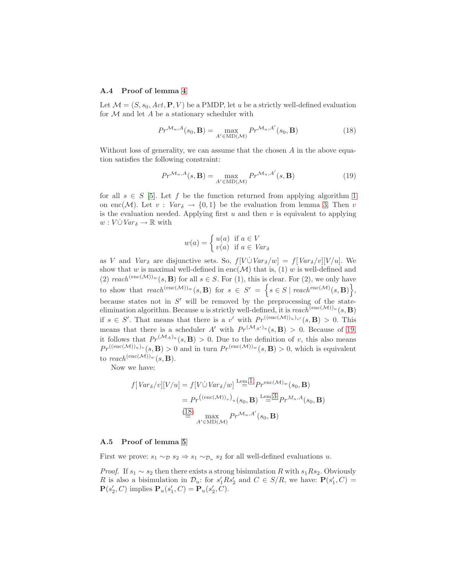#### A.4 Proof of lemma [4](#page-10-0)

Let  $\mathcal{M} = (S, s_0, Act, \mathbf{P}, V)$  be a PMDP, let u be a strictly well-defined evaluation for  $M$  and let  $A$  be a stationary scheduler with

<span id="page-23-1"></span>
$$
Pr^{\mathcal{M}_u, A}(s_0, \mathbf{B}) = \max_{A' \in \text{MD}(\mathcal{M})} Pr^{\mathcal{M}_u, A'}(s_0, \mathbf{B})
$$
(18)

Without loss of generality, we can assume that the chosen  $A$  in the above equation satisfies the following constraint:

$$
Pr^{\mathcal{M}_u, A}(s, \mathbf{B}) = \max_{A' \in \text{MD}(\mathcal{M})} Pr^{\mathcal{M}_u, A'}(s, \mathbf{B})
$$
(19)

for all  $s \in S$  [\[5\]](#page-17-12). Let f be the function returned from applying algorithm [1](#page-6-0) on enc( $\mathcal{M}$ ). Let  $v : Var_{\delta} \rightarrow \{0,1\}$  be the evaluation from lemma [3.](#page-9-0) Then v is the evaluation needed. Applying first  $u$  and then  $v$  is equivalent to applying  $w: V \dot{\cup} \text{Var}_{\delta} \to \mathbb{R}$  with

<span id="page-23-0"></span>
$$
w(a) = \begin{cases} u(a) & \text{if } a \in V \\ v(a) & \text{if } a \in Var_{\delta} \end{cases}
$$

as *V* and *Var*<sub>δ</sub> are disjunctive sets. So,  $f[V\dot{\cup} Var_{\delta}/w] = f[Var_{\delta}/v][V/u]$ . We show that w is maximal well-defined in enc( $\mathcal{M}$ ) that is, (1) w is well-defined and (2)  $reach^{(\text{enc}(\mathcal{M}))_w}(s, \mathbf{B})$  for all  $s \in S$ . For (1), this is clear. For (2), we only have to show that  $reach^{(enc(\mathcal{M}))_w}(s, \mathbf{B})$  for  $s \in S' = \{s \in S \mid reach^{enc(\mathcal{M})}(s, \mathbf{B})\},\$ because states not in  $S'$  will be removed by the preprocessing of the stateelimination algorithm. Because u is strictly well-defined, it is  $reach^{(enc(M))_u}(s, \mathbf{B})$ if  $s \in S'$ . That means that there is a v' with  $Pr^{((\text{enc}(M))_u)_{v'}}(s, \mathbf{B}) > 0$ . This means that there is a scheduler A' with  $Pr^{(\mathcal{M}_{A'})_u}(s, \mathbf{B}) > 0$ . Because of [19,](#page-23-0) it follows that  $Pr^{(\mathcal{M}_A)_u}(s, B) > 0$ . Due to the definition of v, this also means  $Pr^{((\text{enc}(M))_u)_v}(s, B) > 0$  and in turn  $Pr^{(\text{enc}(M))_w}(s, B) > 0$ , which is equivalent to  $reach^{(enc(\mathcal{M}))_w}(s, \mathbf{B}).$ 

Now we have:

$$
f[Var_{\delta}/v][V/u] = f[V \cup Var_{\delta}/w] \stackrel{\text{Lem.}1}{=} Pr^{\text{enc}(\mathcal{M})w}(s_0, \mathbf{B})
$$
  
=  $Pr^{((\text{enc}(\mathcal{M}))_v)_u}(s_0, \mathbf{B}) \stackrel{\text{Lem.}3}{=} Pr^{M_u, A}(s_0, \mathbf{B})$   

$$
\stackrel{(18)}{=} \max_{A' \in \text{MD}(\mathcal{M})} Pr^{M_u, A'}(s_0, \mathbf{B})
$$

#### A.5 Proof of lemma [5](#page-10-2)

First we prove:  $s_1 \sim_{\mathcal{D}} s_2 \Rightarrow s_1 \sim_{\mathcal{D}_u} s_2$  for all well-defined evaluations u.

*Proof.* If  $s_1 \sim s_2$  then there exists a strong bisimulation R with  $s_1 R s_2$ . Obviously R is also a bisimulation in  $\mathcal{D}_u$ : for  $s'_1 R s'_2$  and  $C \in S/R$ , we have:  $\mathbf{P}(s'_1, C) =$  ${\bf P}(s_2', C)$  implies  ${\bf P}_u(s_1', C) = {\bf P}_u(s_2', C)$ .